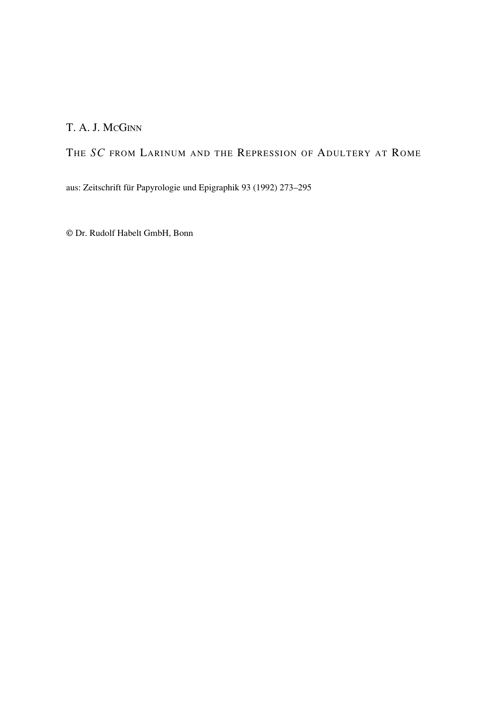# T. A. J. MCGINN

# THE *SC* FROM LARINUM AND THE REPRESSION OF ADULTERY AT ROME

aus: Zeitschrift für Papyrologie und Epigraphik 93 (1992) 273–295

© Dr. Rudolf Habelt GmbH, Bonn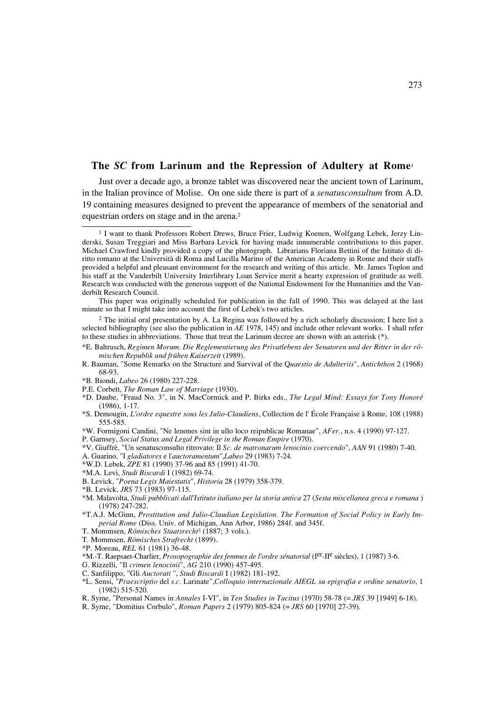Just over a decade ago, a bronze tablet was discovered near the ancient town of Larinum, in the Italian province of Molise. On one side there is part of a *senatusconsultum* from A.D. 19 containing measures designed to prevent the appearance of members of the senatorial and equestrian orders on stage and in the arena.2

 $2$  The initial oral presentation by A. La Regina was followed by a rich scholarly discussion; I here list a selected bibliography (see also the publication in *AE* 1978, 145) and include other relevant works. I shall refer to these studies in abbreviations. Those that treat the Larinum decree are shown with an asterisk (\*).

- \*E. Baltrusch, *Regimen Morum. Die Reglementierung des Privatlebens der Senatoren und der Ritter in der römischen Republik und frühen Kaiserzeit* (1989).
- R. Bauman, "Some Remarks on the Structure and Survival of the Q*uaestio de Adulteriis*", *Antichthon* 2 (1968) 68-93.
- \*B. Biondi, *Labeo* 26 (1980) 227-228.
- P.E. Corbett, *The Roman Law of Marriage* (1930).
- \*D. Daube, "Fraud No. 3", in N. MacCormick and P. Birks eds., *The Legal Mind: Essays for Tony Honoré* (1986), 1-17.
- \*S. Demougin, *L'ordre equestre sous les Julio-Claudiens*, Collection de l' École Française à Rome, 108 (1988) 555-585.
- \*W. Formigoni Candini, "Ne lenones sint in ullo loco reipublicae Romanae", *AFer.*, n.s. 4 (1990) 97-127.
- P. Garnsey, *Social Status and Legal Privilege in the Roman Empire* (1970).
- \*V. Giuffrè, "Un senatusconsulto ritrovato: Il *Sc. de matronarum lenocinio coercendo*", *AAN* 91 (1980) 7-40.
- A. Guarino, "I *gladiatores* e l'*auctoramentum*",*Labeo* 29 (1983) 7-24.
- \*W.D. Lebek, *ZPE* 81 (1990) 37-96 and 85 (1991) 41-70.
- \*M.A. Levi, *Studi Biscardi* I (1982) 69-74.
- B. Levick, "*Poena Legis Maiestatis*", *Historia* 28 (1979) 358-379.
- \*B. Levick, *JRS* 73 (1983) 97-115.
- \*M. Malavolta, *Studi pubblicati dall'Istituto italiano per la storia antica* 27 (*Sesta miscellanea greca e romana* ) (1978) 247-282.
- \*T.A.J. McGinn, *Prostitution and Julio-Claudian Legislation. The Formation of Social Policy in Early Imperial Rome* (Diss. Univ. of Michigan, Ann Arbor, 1986) 284f. and 345f.
- T. Mommsen, *Römisches Staatsrecht*<sup>3</sup> (1887; 3 vols.).
- T. Mommsen, *Römisches Strafrecht* (1899).
- \*P. Moreau, *REL* 61 (1981) 36-48.
- \*M.-T. Raepsaet-Charlier, *Prosopographie des femmes de l'ordre sénatorial* (Ier-IIe siècles), 1 (1987) 3-6.
- G. Rizzelli, "Il *crimen lenocinii*", *AG* 210 (1990) 457-495.
- C. Sanfilippo, "Gli *Auctorati* ", *Studi Biscardi* I (1982) 181-192.
- \*L. Sensi, "*Praescriptio* del *s.c.* Larinate",*Colloquio internazionale AIEGL su epigrafia e ordine senatorio*, 1 (1982) 515-520.
- R. Syme, "Personal Names in *Annales* I-VI", in *Ten Studies in Tacitus* (1970) 58-78 (= *JRS* 39 [1949] 6-18).
- R. Syme, "Domitius Corbulo", *Roman Papers* 2 (1979) 805-824 (= *JRS* 60 [1970] 27-39).

<sup>1</sup> I want to thank Professors Robert Drews, Bruce Frier, Ludwig Koenen, Wolfgang Lebek, Jerzy Linderski, Susan Treggiari and Miss Barbara Levick for having made innumerable contributions to this paper. Michael Crawford kindly provided a copy of the photograph. Librarians Floriana Bettini of the Istituto di diritto romano at the Università di Roma and Lucilla Marino of the American Academy in Rome and their staffs provided a helpful and pleasant environment for the research and writing of this article. Mr. James Toplon and his staff at the Vanderbilt University Interlibrary Loan Service merit a hearty expression of gratitude as well. Research was conducted with the generous support of the National Endowment for the Humanities and the Vanderbilt Research Council.

This paper was originally scheduled for publication in the fall of 1990. This was delayed at the last minute so that I might take into account the first of Lebek's two articles.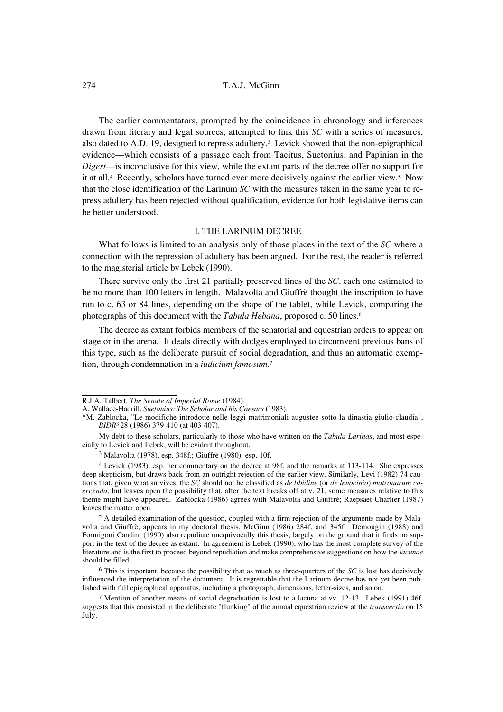The earlier commentators, prompted by the coincidence in chronology and inferences drawn from literary and legal sources, attempted to link this *SC* with a series of measures, also dated to A.D. 19, designed to repress adultery.<sup>3</sup> Levick showed that the non-epigraphical evidence—which consists of a passage each from Tacitus, Suetonius, and Papinian in the *Digest*—is inconclusive for this view, while the extant parts of the decree offer no support for it at all.4 Recently, scholars have turned ever more decisively against the earlier view.5 Now that the close identification of the Larinum *SC* with the measures taken in the same year to repress adultery has been rejected without qualification, evidence for both legislative items can be better understood.

# I. THE LARINUM DECREE

What follows is limited to an analysis only of those places in the text of the *SC* where a connection with the repression of adultery has been argued. For the rest, the reader is referred to the magisterial article by Lebek (1990).

There survive only the first 21 partially preserved lines of the *SC*, each one estimated to be no more than 100 letters in length. Malavolta and Giuffrè thought the inscription to have run to c. 63 or 84 lines, depending on the shape of the tablet, while Levick, comparing the photographs of this document with the *Tabula Hebana*, proposed c. 50 lines.6

The decree as extant forbids members of the senatorial and equestrian orders to appear on stage or in the arena. It deals directly with dodges employed to circumvent previous bans of this type, such as the deliberate pursuit of social degradation, and thus an automatic exemption, through condemnation in a *iudicium famosum.*<sup>7</sup>

R.J.A. Talbert, *The Senate of Imperial Rome* (1984).

A. Wallace-Hadrill, *Suetonius: The Scholar and his Caesars* (1983).

<sup>\*</sup>M. Zablocka, "Le modifiche introdotte nelle leggi matrimoniali augustee sotto la dinastia giulio-claudia", *BIDR*3 28 (1986) 379-410 (at 403-407).

My debt to these scholars, particularly to those who have written on the *Tabula Larinas*, and most especially to Levick and Lebek, will be evident throughout.

<sup>3</sup> Malavolta (1978), esp. 348f.; Giuffrè (1980), esp. 10f.

<sup>4</sup> Levick (1983), esp. her commentary on the decree at 98f. and the remarks at 113-114. She expresses deep skepticism, but draws back from an outright rejection of the earlier view. Similarly, Levi (1982) 74 cautions that, given what survives, the *SC* should not be classified as *de libidine* (or *de lenocinio*) *matronarum coercenda*, but leaves open the possibility that, after the text breaks off at v. 21, some measures relative to this theme might have appeared. Zablocka (1986) agrees with Malavolta and Giuffrè; Raepsaet-Charlier (1987) leaves the matter open.

<sup>&</sup>lt;sup>5</sup> A detailed examination of the question, coupled with a firm rejection of the arguments made by Malavolta and Giuffrè, appears in my doctoral thesis, McGinn (1986) 284f. and 345f. Demougin (1988) and Formigoni Candini (1990) also repudiate unequivocally this thesis, largely on the ground that it finds no support in the text of the decree as extant. In agreement is Lebek (1990), who has the most complete survey of the literature and is the first to proceed beyond repudiation and make comprehensive suggestions on how the *lacunae* should be filled.

<sup>6</sup> This is important, because the possibility that as much as three-quarters of the *SC* is lost has decisively influenced the interpretation of the document. It is regrettable that the Larinum decree has not yet been published with full epigraphical apparatus, including a photograph, dimensions, letter-sizes, and so on.

<sup>7</sup> Mention of another means of social degraduation is lost to a lacuna at vv. 12-13. Lebek (1991) 46f. suggests that this consisted in the deliberate "flunking" of the annual equestrian review at the *transvectio* on 15 July.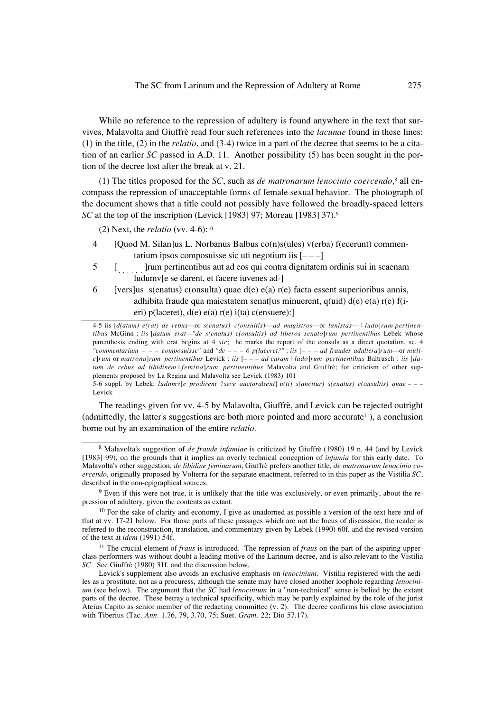While no reference to the repression of adultery is found anywhere in the text that survives, Malavolta and Giuffrè read four such references into the *lacunae* found in these lines: (1) in the title, (2) in the *relatio*, and (3-4) twice in a part of the decree that seems to be a citation of an earlier *SC* passed in A.D. 11. Another possibility (5) has been sought in the portion of the decree lost after the break at v. 21.

(1) The titles proposed for the *SC*, such as *de matronarum lenocinio coercendo*, $\delta$  all encompass the repression of unacceptable forms of female sexual behavior. The photograph of the document shows that a title could not possibly have followed the broadly-spaced letters *SC* at the top of the inscription (Levick [1983] 97; Moreau [1983] 37).<sup>9</sup>

(2) Next, the *relatio* (vv. 4-6):10

- 4 [Quod M. Silan]us L. Norbanus Balbus co(n)s(ules) v(erba) f(ecerunt) commentarium ipsos composuisse sic uti negotium iis  $[- -1]$
- 5 [!%]rum pertinentibus aut ad eos qui contra dignitatem ordinis sui in scaenam ludumv[e se darent, et facere iuvenes ad-]
- 6 [vers]us s(enatus) c(onsulta) quae  $d(e)$  e(a) r(e) facta essent superioribus annis, adhibita fraude qua maiestatem senat[us minuerent, q(uid) d(e) e(a) r(e) f(ieri) p(laceret), d(e) e(a) r(e) i(ta) c(ensuere):]

4-5 iis [*d(atum) e(rat) de rebus*—or *s(enatus) c(onsultis)*—*ad magistros*—or *lanistas*— | *ludo*]*rum pertinentibus* McGinn : *iis* [*datum erat—"de s(enatus) c(onsultis) ad liberos senato*]*rum pertinentibus* Lebek whose parenthesis ending with erat begins at 4 *sic*; he marks the report of the consuls as a direct quotation, sc. 4 *"commentarium – – – composuisse"* and *"de – – – 6 p(laceret?"* : *iis* [*– – – ad fraudes adultera*]*rum—*or *mulie*]*rum* or *matrona*]*rum pertinentibus* Levick : *iis* [*– – – ad curam* | *ludo*]*rum pertinentibus* Baltrusch : *iis* [*datum de rebus ad libidinem* | *femina*]*rum pertinentibus* Malavolta and Giuffrè; for criticism of other supplements proposed by La Regina and Malavolta see Levick (1983) 101

5-6 suppl. by Lebek; *ludumv*[*e prodirent ?seve auctora*|r*ent*] *u(ti) s(ancitur) s(enatus) c(onsultis) quae – – –* Levick

The readings given for vv. 4-5 by Malavolta, Giuffrè, and Levick can be rejected outright (admittedly, the latter's suggestions are both more pointed and more accurate $\mu$ ), a conclusion borne out by an examination of the entire *relatio.*

<sup>8</sup> Malavolta's suggestion of *de fraude infamiae* is criticized by Giuffrè (1980) 19 n. 44 (and by Levick [1983] 99), on the grounds that it implies an overly technical conception of *infamia* for this early date. To Malavolta's other suggestion, *de libidine feminarum*, Giuffrè prefers another title, *de matronarum lenocinio coercendo*, originally proposed by Volterra for the separate enactment, referred to in this paper as the Vistilia *SC*, described in the non-epigraphical sources.

<sup>9</sup> Even if this were not true, it is unlikely that the title was exclusively, or even primarily, about the repression of adultery, given the contents as extant.

 $10$  For the sake of clarity and economy, I give as unadorned as possible a version of the text here and of that at vv. 17-21 below. For those parts of these passages which are not the focus of discussion, the reader is referred to the reconstruction, translation, and commentary given by Lebek (1990) 60f. and the revised version of the text at *idem* (1991) 54f.

<sup>11</sup> The crucial element of *fraus* is introduced. The repression of *fraus* on the part of the aspiring upperclass performers was without doubt a leading motive of the Larinum decree, and is also relevant to the Vistilia *SC.* See Giuffrè (1980) 31f. and the discussion below.

Levick's supplement also avoids an exclusive emphasis on *lenocinium.* Vistilia registered with the aediles as a prostitute, not as a procuress, although the senate may have closed another loophole regarding *lenocinium* (see below). The argument that the *SC* had *lenocinium* in a "non-technical" sense is belied by the extant parts of the decree. These betray a technical specificity, which may be partly explained by the role of the jurist Ateius Capito as senior member of the redacting committee (v. 2). The decree confirms his close association with Tiberius (Tac. *Ann.* 1.76, 79, 3.70, 75; Suet. *Gram.* 22; Dio 57.17).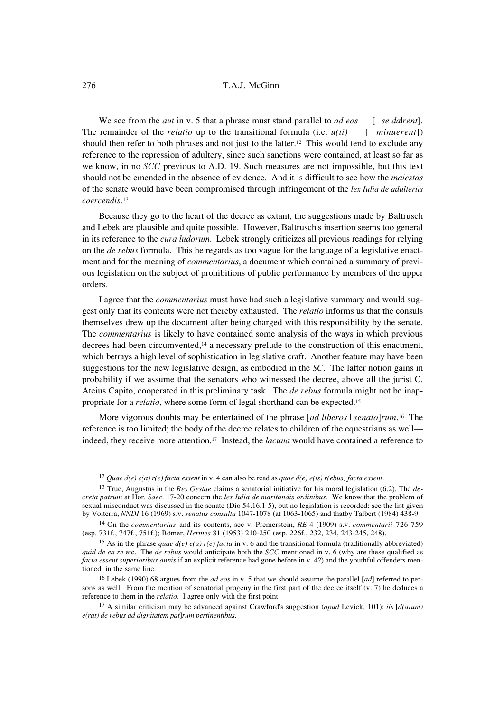We see from the *aut* in v. 5 that a phrase must stand parallel to *ad eos*  $-\frac{1}{e}$  *se dalvent*]. The remainder of the *relatio* up to the transitional formula (i.e.  $u(t)$ )  $-$  [– *minuerent*]) should then refer to both phrases and not just to the latter.<sup>12</sup> This would tend to exclude any reference to the repression of adultery, since such sanctions were contained, at least so far as we know, in no *SCC* previous to A.D. 19. Such measures are not impossible, but this text should not be emended in the absence of evidence. And it is difficult to see how the *maiestas* of the senate would have been compromised through infringement of the *lex Iulia de adulteriis coercendis.*<sup>13</sup>

Because they go to the heart of the decree as extant, the suggestions made by Baltrusch and Lebek are plausible and quite possible. However, Baltrusch's insertion seems too general in its reference to the *cura ludorum.* Lebek strongly criticizes all previous readings for relying on the *de rebus* formula. This he regards as too vague for the language of a legislative enactment and for the meaning of *commentarius*, a document which contained a summary of previous legislation on the subject of prohibitions of public performance by members of the upper orders.

I agree that the *commentarius* must have had such a legislative summary and would suggest only that its contents were not thereby exhausted. The *relatio* informs us that the consuls themselves drew up the document after being charged with this responsibility by the senate. The *commentarius* is likely to have contained some analysis of the ways in which previous decrees had been circumvented,<sup>14</sup> a necessary prelude to the construction of this enactment, which betrays a high level of sophistication in legislative craft. Another feature may have been suggestions for the new legislative design, as embodied in the *SC.* The latter notion gains in probability if we assume that the senators who witnessed the decree, above all the jurist C. Ateius Capito, cooperated in this preliminary task. The *de rebus* formula might not be inappropriate for a *relatio*, where some form of legal shorthand can be expected.15

More vigorous doubts may be entertained of the phrase [*ad liberos* | *senato*]*rum*.16 The reference is too limited; the body of the decree relates to children of the equestrians as well indeed, they receive more attention.17 Instead, the *lacuna* would have contained a reference to

<sup>12</sup> *Quae d(e) e(a) r(e) facta essent* in v. 4 can also be read as *quae d(e) e(is) r(ebus) facta essent.*

<sup>13</sup> True, Augustus in the *Res Gestae* claims a senatorial initiative for his moral legislation (6.2). The *decreta patrum* at Hor. *Saec.* 17-20 concern the *lex Iulia de maritandis ordinibus.* We know that the problem of sexual misconduct was discussed in the senate (Dio 54.16.1-5), but no legislation is recorded: see the list given by Volterra, *NNDI* 16 (1969) s.v. *senatus consulta* 1047-1078 (at 1063-1065) and thatby Talbert (1984) 438-9.

<sup>14</sup> On the *commentarius* and its contents, see v. Premerstein, *RE* 4 (1909) s.v. *commentarii* 726-759 (esp. 731f., 747f., 751f.); Bömer, *Hermes* 81 (1953) 210-250 (esp. 226f., 232, 234, 243-245, 248).

<sup>&</sup>lt;sup>15</sup> As in the phrase *quae d(e) e(a) r(e) facta* in v. 6 and the transitional formula (traditionally abbreviated) *quid de ea re* etc. The *de rebus* would anticipate both the *SCC* mentioned in v. 6 (why are these qualified as *facta essent superioribus annis* if an explicit reference had gone before in v. 4?) and the youthful offenders mentioned in the same line.

<sup>&</sup>lt;sup>16</sup> Lebek (1990) 68 argues from the *ad eos* in v. 5 that we should assume the parallel [*ad*] referred to persons as well. From the mention of senatorial progeny in the first part of the decree itself (v. 7) he deduces a reference to them in the *relatio.* I agree only with the first point.

<sup>17</sup> A similar criticism may be advanced against Crawford's suggestion (*apud* Levick, 101): *iis* [*d(atum) e(rat) de rebus ad dignitatem pat*]*rum pertinentibus.*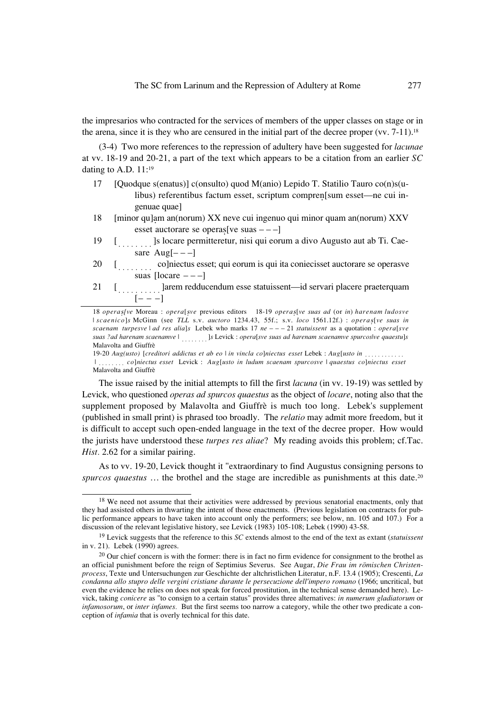the impresarios who contracted for the services of members of the upper classes on stage or in the arena, since it is they who are censured in the initial part of the decree proper (vv. 7-11).<sup>18</sup>

(3-4) Two more references to the repression of adultery have been suggested for *lacunae* at vv. 18-19 and 20-21, a part of the text which appears to be a citation from an earlier *SC* dating to A.D. 11:19

- 17 [Quodque s(enatus)] c(onsulto) quod M(anio) Lepido T. Statilio Tauro co(n)s(ulibus) referentibus factum esset, scriptum compren[sum esset—ne cui ingenuae quae]
- 18 [minor qu]am an(norum) XX neve cui ingenuo qui minor quam an(norum) XXV
- esset auctorare se operas[ve suas  $---$ ]<br>[........] s locare permitteretur, nisi qui eorum a divo Augusto aut ab Ti. Cae-19 sare Aug $[- -]$
- [........ co]niectus esset; qui eorum is qui ita coniecisset auctorare se operasve 20 [!# co]niectus esset; qui eorum is qui ita coniecisset auctorare se operasve suas  $[locare -- -]$
- 21 [!!]arem redducendum esse statuissent—id servari placere praeterquam  $[- - -]$

18 *opera*s*[ve* Moreau : *opera*[s*ve* previous editors 18-19 *opera*s[*ve suas ad* (or *in*) *harenam ludosve* | *scaenico*]*s* McGinn (see *TLL* s.v. *auctoro* 1234.43, 55f.; s.v. *loco* 1561.12f.) : *opera*s[*ve suas in scaenam turpesve* | *ad res alia*]*s* Lebek who marks 17 *ne* – – – 21 *statuissent* as a quotation : *opera*[*sve suas ?ad harenam scaenamve* | ........]*s* Levick : *opera*[*sve suas ad harenam scaenamve spurcos*|*ve quaestu*]*s*<br>Malavolta and Giuffrè<br>19-20 Aug(usto) [creditori addictus et ab eo | in vincla co]niectus esset Lebek : Malavolta and Giuffrè

19-20 *Aug(usto)* [*creditori addictus et ab eo* | *in vincla co*]*niectus esset* Lebek : *Aug*[*usto in* !!\$ | !# *co*]*niectus esset* Levick : *Aug*[*usto in ludum scaenam spurcosve* | *quaestus co*]*niectus esset* Malavolta and Giuffrè

The issue raised by the initial attempts to fill the first *lacuna* (in vv. 19-19) was settled by Levick, who questioned *operas ad spurcos quaestus* as the object of *locare*, noting also that the supplement proposed by Malavolta and Giuffrè is much too long. Lebek's supplement (published in small print) is phrased too broadly. The *relatio* may admit more freedom, but it is difficult to accept such open-ended language in the text of the decree proper. How would the jurists have understood these *turpes res aliae*? My reading avoids this problem; cf.Tac. *Hist.* 2.62 for a similar pairing.

As to vv. 19-20, Levick thought it "extraordinary to find Augustus consigning persons to *spurcos quaestus* ... the brothel and the stage are incredible as punishments at this date.<sup>20</sup>

<sup>&</sup>lt;sup>18</sup> We need not assume that their activities were addressed by previous senatorial enactments, only that they had assisted others in thwarting the intent of those enactments. (Previous legislation on contracts for public performance appears to have taken into account only the performers; see below, nn. 105 and 107.) For a discussion of the relevant legislative history, see Levick (1983) 105-108; Lebek (1990) 43-58.

<sup>19</sup> Levick suggests that the reference to this *SC* extends almost to the end of the text as extant (*statuissent* in v. 21). Lebek (1990) agrees.

<sup>&</sup>lt;sup>20</sup> Our chief concern is with the former: there is in fact no firm evidence for consignment to the brothel as an official punishment before the reign of Septimius Severus. See Augar, *Die Frau im römischen Christenprocess*, Texte und Untersuchungen zur Geschichte der altchristlichen Literatur, n.F. 13.4 (1905); Crescenti, *La condanna allo stupro delle vergini cristiane durante le persecuzione dell'impero romano* (1966; uncritical, but even the evidence he relies on does not speak for forced prostitution, in the technical sense demanded here). Levick, taking *conicere* as "to consign to a certain status" provides three alternatives: *in numerum gladiatorum* or *infamosorum*, or *inter infames.* But the first seems too narrow a category, while the other two predicate a conception of *infamia* that is overly technical for this date.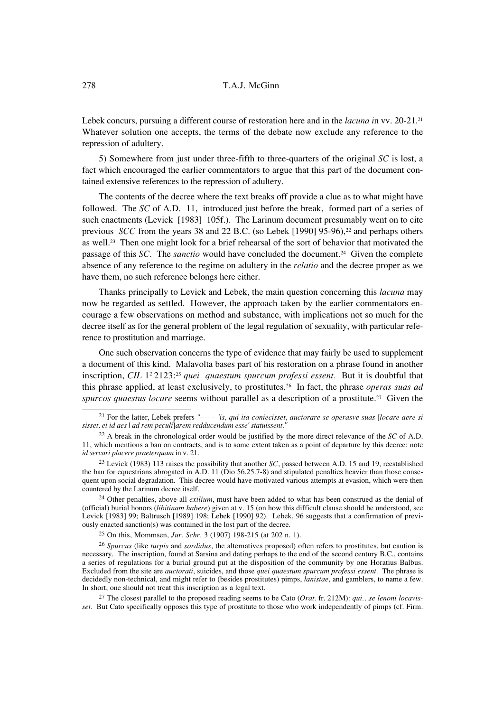Lebek concurs, pursuing a different course of restoration here and in the *lacuna i*n vv. 20-21.21 Whatever solution one accepts, the terms of the debate now exclude any reference to the repression of adultery.

5) Somewhere from just under three-fifth to three-quarters of the original *SC* is lost, a fact which encouraged the earlier commentators to argue that this part of the document contained extensive references to the repression of adultery.

The contents of the decree where the text breaks off provide a clue as to what might have followed. The *SC* of A.D. 11, introduced just before the break, formed part of a series of such enactments (Levick [1983] 105f.). The Larinum document presumably went on to cite previous *SCC* from the years 38 and 22 B.C. (so Lebek [1990] 95-96),<sup>22</sup> and perhaps others as well.23 Then one might look for a brief rehearsal of the sort of behavior that motivated the passage of this *SC.* The *sanctio* would have concluded the document.24 Given the complete absence of any reference to the regime on adultery in the *relatio* and the decree proper as we have them, no such reference belongs here either.

Thanks principally to Levick and Lebek, the main question concerning this *lacuna* may now be regarded as settled. However, the approach taken by the earlier commentators encourage a few observations on method and substance, with implications not so much for the decree itself as for the general problem of the legal regulation of sexuality, with particular reference to prostitution and marriage.

One such observation concerns the type of evidence that may fairly be used to supplement a document of this kind. Malavolta bases part of his restoration on a phrase found in another inscription, *CIL* 1<sup>2</sup> 2123:<sup>25</sup> *quei quaestum spurcum professi essent.* But it is doubtful that this phrase applied, at least exclusively, to prostitutes.26 In fact, the phrase *operas suas ad spurcos quaestus locare* seems without parallel as a description of a prostitute.27 Given the

<sup>24</sup> Other penalties, above all *exilium*, must have been added to what has been construed as the denial of (official) burial honors (*libitinam habere*) given at v. 15 (on how this difficult clause should be understood, see Levick [1983] 99; Baltrusch [1989] 198; Lebek [1990] 92). Lebek, 96 suggests that a confirmation of previously enacted sanction(s) was contained in the lost part of the decree.

<sup>25</sup> On this, Mommsen, *Jur. Schr.* 3 (1907) 198-215 (at 202 n. 1).

<sup>26</sup> *Spurcus* (like *turpis* and *sordidus*, the alternatives proposed) often refers to prostitutes, but caution is necessary. The inscription, found at Sarsina and dating perhaps to the end of the second century B.C., contains a series of regulations for a burial ground put at the disposition of the community by one Horatius Balbus. Excluded from the site are *auctorati*, suicides, and those *quei quaestum spurcum professi essent.* The phrase is decidedly non-technical, and might refer to (besides prostitutes) pimps, *lanistae*, and gamblers, to name a few. In short, one should not treat this inscription as a legal text.

<sup>27</sup> The closest parallel to the proposed reading seems to be Cato (*Orat.* fr. 212M): *qui…se lenoni locavisset.* But Cato specifically opposes this type of prostitute to those who work independently of pimps (cf. Firm.

<sup>21</sup> For the latter, Lebek prefers *"– – – 'is, qui ita coniecisset, auctorare se operasve suas* [*locare aere si sisset, ei id aes* | *ad rem peculi*]*arem redducendum esse' statuissent."*

<sup>22</sup> A break in the chronological order would be justified by the more direct relevance of the *SC* of A.D. 11, which mentions a ban on contracts, and is to some extent taken as a point of departure by this decree: note *id servari placere praeterquam* in v. 21.

<sup>23</sup> Levick (1983) 113 raises the possibility that another *SC*, passed between A.D. 15 and 19, reestablished the ban for equestrians abrogated in A.D. 11 (Dio 56.25.7-8) and stipulated penalties heavier than those consequent upon social degradation. This decree would have motivated various attempts at evasion, which were then countered by the Larinum decree itself.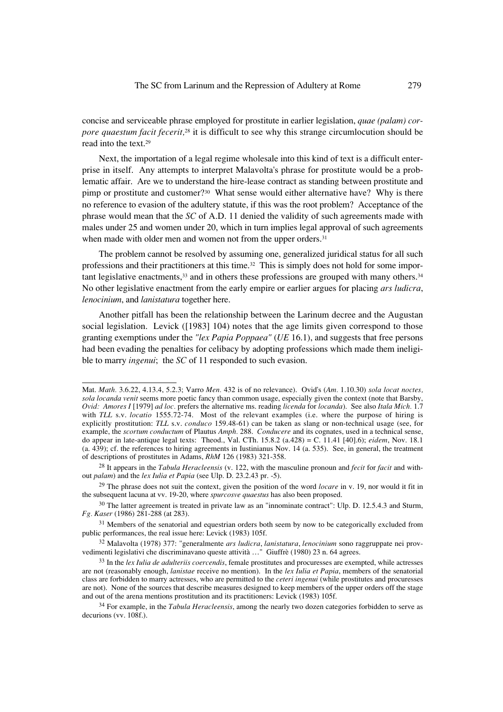concise and serviceable phrase employed for prostitute in earlier legislation, *quae (palam) corpore quaestum facit fecerit,*28 it is difficult to see why this strange circumlocution should be read into the text.29

Next, the importation of a legal regime wholesale into this kind of text is a difficult enterprise in itself. Any attempts to interpret Malavolta's phrase for prostitute would be a problematic affair. Are we to understand the hire-lease contract as standing between prostitute and pimp or prostitute and customer?<sup>30</sup> What sense would either alternative have? Why is there no reference to evasion of the adultery statute, if this was the root problem? Acceptance of the phrase would mean that the *SC* of A.D. 11 denied the validity of such agreements made with males under 25 and women under 20, which in turn implies legal approval of such agreements when made with older men and women not from the upper orders.<sup>31</sup>

The problem cannot be resolved by assuming one, generalized juridical status for all such professions and their practitioners at this time.<sup>32</sup> This is simply does not hold for some important legislative enactments,<sup>33</sup> and in others these professions are grouped with many others.<sup>34</sup> No other legislative enactment from the early empire or earlier argues for placing *ars ludicra*, *lenocinium*, and *lanistatura* together here.

Another pitfall has been the relationship between the Larinum decree and the Augustan social legislation. Levick ([1983] 104) notes that the age limits given correspond to those granting exemptions under the *"lex Papia Poppaea"* (*UE* 16.1), and suggests that free persons had been evading the penalties for celibacy by adopting professions which made them ineligible to marry *ingenui*; the *SC* of 11 responded to such evasion.

Mat. *Math.* 3.6.22, 4.13.4, 5.2.3; Varro *Men.* 432 is of no relevance). Ovid's (*Am.* 1.10.30) *sola locat noctes, sola locanda venit* seems more poetic fancy than common usage, especially given the context (note that Barsby, *Ovid: Amores I* [1979] *ad loc.* prefers the alternative ms. reading *licenda* for *locanda*). See also *Itala Mich.* 1.7 with *TLL* s.v. *locatio* 1555.72-74. Most of the relevant examples (i.e. where the purpose of hiring is explicitly prostitution: *TLL* s.v. *conduco* 159.48-61) can be taken as slang or non-technical usage (see, for example, the *scortum conductum* of Plautus *Amph.* 288. *Conducere* and its cognates, used in a technical sense, do appear in late-antique legal texts: Theod., Val. CTh. 15.8.2 (a.428) = C. 11.41 [40].6); *eidem*, Nov. 18.1 (a. 439); cf. the references to hiring agreements in Iustinianus Nov. 14 (a. 535). See, in general, the treatment of descriptions of prostitutes in Adams, *RhM* 126 (1983) 321-358.

<sup>28</sup> It appears in the *Tabula Heracleensis* (v. 122, with the masculine pronoun and *fecit* for *facit* and without *palam*) and the *lex Iulia et Papia* (see Ulp. D. 23.2.43 pr. -5).

<sup>29</sup> The phrase does not suit the context, given the position of the word *locare* in v. 19, nor would it fit in the subsequent lacuna at vv. 19-20, where *spurcosve quaestus* has also been proposed.

<sup>&</sup>lt;sup>30</sup> The latter agreement is treated in private law as an "innominate contract": Ulp. D. 12.5.4.3 and Sturm, *Fg. Kaser* (1986) 281-288 (at 283).

<sup>&</sup>lt;sup>31</sup> Members of the senatorial and equestrian orders both seem by now to be categorically excluded from public performances, the real issue here: Levick (1983) 105f.

<sup>32</sup> Malavolta (1978) 377: "generalmente *ars ludicra*, *lanistatura*, *lenocinium* sono raggruppate nei provvedimenti legislativi che discriminavano queste attività …" Giuffrè (1980) 23 n. 64 agrees.

<sup>33</sup> In the *lex Iulia de adulteriis coercendis*, female prostitutes and procuresses are exempted, while actresses are not (reasonably enough, *lanistae* receive no mention). In the *lex Iulia et Papia*, members of the senatorial class are forbidden to marry actresses, who are permitted to the *ceteri ingenui* (while prostitutes and procuresses are not). None of the sources that describe measures designed to keep members of the upper orders off the stage and out of the arena mentions prostitution and its practitioners: Levick (1983) 105f.

<sup>34</sup> For example, in the *Tabula Heracleensis*, among the nearly two dozen categories forbidden to serve as  $decurions (vv. 108f.).$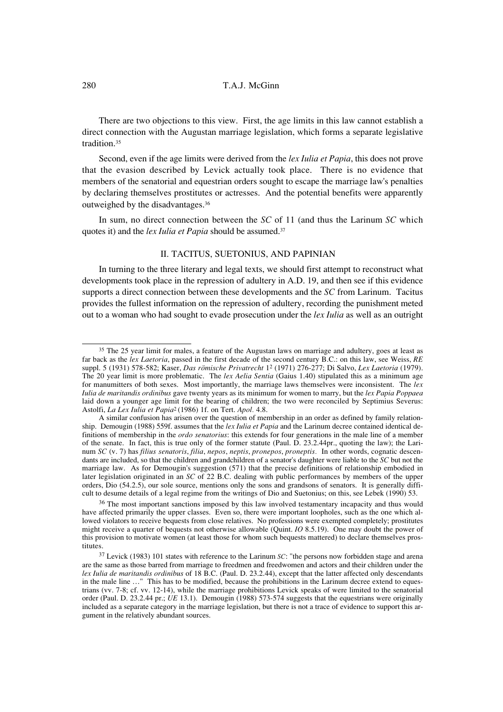There are two objections to this view. First, the age limits in this law cannot establish a direct connection with the Augustan marriage legislation, which forms a separate legislative tradition.35

Second, even if the age limits were derived from the *lex Iulia et Papia*, this does not prove that the evasion described by Levick actually took place. There is no evidence that members of the senatorial and equestrian orders sought to escape the marriage law's penalties by declaring themselves prostitutes or actresses. And the potential benefits were apparently outweighed by the disadvantages.36

In sum, no direct connection between the *SC* of 11 (and thus the Larinum *SC* which quotes it) and the *lex Iulia et Papia* should be assumed.37

# II. TACITUS, SUETONIUS, AND PAPINIAN

In turning to the three literary and legal texts, we should first attempt to reconstruct what developments took place in the repression of adultery in A.D. 19, and then see if this evidence supports a direct connection between these developments and the *SC* from Larinum. Tacitus provides the fullest information on the repression of adultery, recording the punishment meted out to a woman who had sought to evade prosecution under the *lex Iulia* as well as an outright

<sup>&</sup>lt;sup>35</sup> The 25 year limit for males, a feature of the Augustan laws on marriage and adultery, goes at least as far back as the *lex Laetoria*, passed in the first decade of the second century B.C.: on this law, see Weiss, *RE* suppl. 5 (1931) 578-582; Kaser, *Das römische Privatrecht* 12 (1971) 276-277; Di Salvo, *Lex Laetoria* (1979). The 20 year limit is more problematic. The *lex Aelia Sentia* (Gaius 1.40) stipulated this as a minimum age for manumitters of both sexes. Most importantly, the marriage laws themselves were inconsistent. The *lex Iulia de maritandis ordinibus* gave twenty years as its minimum for women to marry, but the *lex Papia Poppaea* laid down a younger age limit for the bearing of children; the two were reconciled by Septimius Severus: Astolfi, *La Lex Iulia et Papia*2 (1986) 1f. on Tert. *Apol.* 4.8.

A similar confusion has arisen over the question of membership in an order as defined by family relationship. Demougin (1988) 559f. assumes that the *lex Iulia et Papia* and the Larinum decree contained identical definitions of membership in the *ordo senatorius*: this extends for four generations in the male line of a member of the senate. In fact, this is true only of the former statute (Paul. D. 23.2.44pr., quoting the law); the Larinum *SC* (v. 7) has *filius senatoris*, *filia*, *nepos*, *neptis*, *pronepos*, *proneptis.* In other words, cognatic descendants are included, so that the children and grandchildren of a senator's daughter were liable to the *SC* but not the marriage law. As for Demougin's suggestion (571) that the precise definitions of relationship embodied in later legislation originated in an *SC* of 22 B.C. dealing with public performances by members of the upper orders, Dio (54.2.5), our sole source, mentions only the sons and grandsons of senators. It is generally difficult to desume details of a legal regime from the writings of Dio and Suetonius; on this, see Lebek (1990) 53.

<sup>&</sup>lt;sup>36</sup> The most important sanctions imposed by this law involved testamentary incapacity and thus would have affected primarily the upper classes. Even so, there were important loopholes, such as the one which allowed violators to receive bequests from close relatives. No professions were exempted completely; prostitutes might receive a quarter of bequests not otherwise allowable (Quint. *IO* 8.5.19). One may doubt the power of this provision to motivate women (at least those for whom such bequests mattered) to declare themselves prostitutes.

<sup>37</sup> Levick (1983) 101 states with reference to the Larinum *SC*: "the persons now forbidden stage and arena are the same as those barred from marriage to freedmen and freedwomen and actors and their children under the *lex Iulia de maritandis ordinibus* of 18 B.C. (Paul. D. 23.2.44), except that the latter affected only descendants in the male line …" This has to be modified, because the prohibitions in the Larinum decree extend to equestrians (vv. 7-8; cf. vv. 12-14), while the marriage prohibitions Levick speaks of were limited to the senatorial order (Paul. D. 23.2.44 pr.; *UE* 13.1). Demougin (1988) 573-574 suggests that the equestrians were originally included as a separate category in the marriage legislation, but there is not a trace of evidence to support this argument in the relatively abundant sources.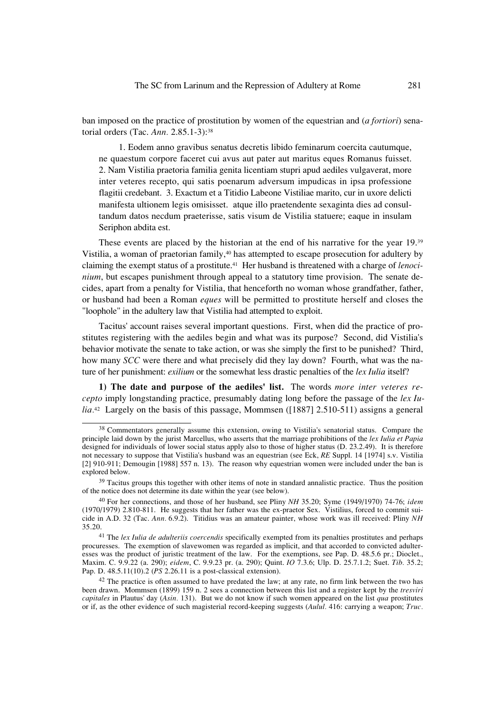ban imposed on the practice of prostitution by women of the equestrian and (*a fortiori*) senatorial orders (Tac. *Ann.* 2.85.1-3):38

1. Eodem anno gravibus senatus decretis libido feminarum coercita cautumque, ne quaestum corpore faceret cui avus aut pater aut maritus eques Romanus fuisset. 2. Nam Vistilia praetoria familia genita licentiam stupri apud aediles vulgaverat, more inter veteres recepto, qui satis poenarum adversum impudicas in ipsa professione flagitii credebant. 3. Exactum et a Titidio Labeone Vistiliae marito, cur in uxore delicti manifesta ultionem legis omisisset. atque illo praetendente sexaginta dies ad consultandum datos necdum praeterisse, satis visum de Vistilia statuere; eaque in insulam Seriphon abdita est.

These events are placed by the historian at the end of his narrative for the year 19.39 Vistilia, a woman of praetorian family,40 has attempted to escape prosecution for adultery by claiming the exempt status of a prostitute.41 Her husband is threatened with a charge of *lenocinium*, but escapes punishment through appeal to a statutory time provision. The senate decides, apart from a penalty for Vistilia, that henceforth no woman whose grandfather, father, or husband had been a Roman *eques* will be permitted to prostitute herself and closes the "loophole" in the adultery law that Vistilia had attempted to exploit.

Tacitus' account raises several important questions. First, when did the practice of prostitutes registering with the aediles begin and what was its purpose? Second, did Vistilia's behavior motivate the senate to take action, or was she simply the first to be punished? Third, how many *SCC* were there and what precisely did they lay down? Fourth, what was the nature of her punishment: *exilium* or the somewhat less drastic penalties of the *lex Iulia* itself?

**1) The date and purpose of the aediles' list.** The words *more inter veteres recepto* imply longstanding practice, presumably dating long before the passage of the *lex Iulia.*42 Largely on the basis of this passage, Mommsen ([1887] 2.510-511) assigns a general

<sup>38</sup> Commentators generally assume this extension, owing to Vistilia's senatorial status. Compare the principle laid down by the jurist Marcellus, who asserts that the marriage prohibitions of the *lex Iulia et Papia* designed for individuals of lower social status apply also to those of higher status (D. 23.2.49). It is therefore not necessary to suppose that Vistilia's husband was an equestrian (see Eck, *RE* Suppl. 14 [1974] s.v. Vistilia [2] 910-911; Demougin [1988] 557 n. 13). The reason why equestrian women were included under the ban is explored below.

<sup>&</sup>lt;sup>39</sup> Tacitus groups this together with other items of note in standard annalistic practice. Thus the position of the notice does not determine its date within the year (see below).

<sup>40</sup> For her connections, and those of her husband, see Pliny *NH* 35.20; Syme (1949/1970) 74-76; *idem* (1970/1979) 2.810-811. He suggests that her father was the ex-praetor Sex. Vistilius, forced to commit suicide in A.D. 32 (Tac. *Ann.* 6.9.2). Titidius was an amateur painter, whose work was ill received: Pliny *NH* 35.20.

<sup>41</sup> The *lex Iulia de adulteriis coercendis* specifically exempted from its penalties prostitutes and perhaps procuresses. The exemption of slavewomen was regarded as implicit, and that accorded to convicted adulteresses was the product of juristic treatment of the law. For the exemptions, see Pap. D. 48.5.6 pr.; Dioclet., Maxim. C. 9.9.22 (a. 290); *eidem*, C. 9.9.23 pr. (a. 290); Quint. *IO* 7.3.6; Ulp. D. 25.7.1.2; Suet. *Tib.* 35.2; Pap. D. 48.5.11(10).2 (*PS* 2.26.11 is a post-classical extension).

<sup>&</sup>lt;sup>42</sup> The practice is often assumed to have predated the law; at any rate, no firm link between the two has been drawn. Mommsen (1899) 159 n. 2 sees a connection between this list and a register kept by the *tresviri capitales* in Plautus' day (*Asin.* 131). But we do not know if such women appeared on the list *qua* prostitutes or if, as the other evidence of such magisterial record-keeping suggests (*Aulul.* 416: carrying a weapon; *Truc.*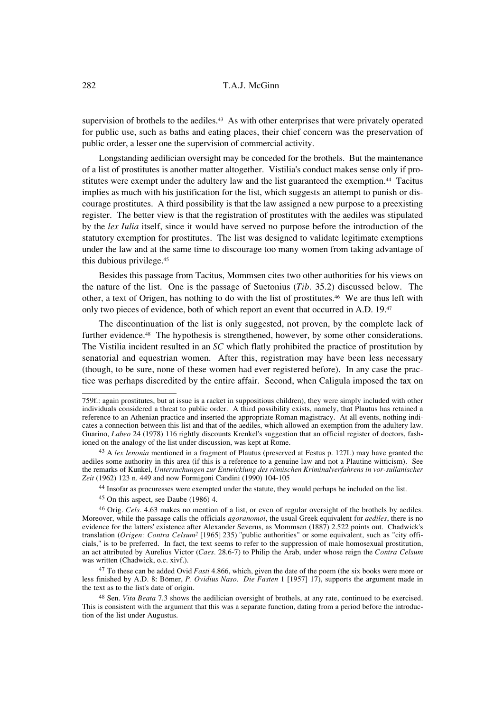supervision of brothels to the aediles.<sup>43</sup> As with other enterprises that were privately operated for public use, such as baths and eating places, their chief concern was the preservation of public order, a lesser one the supervision of commercial activity.

Longstanding aedilician oversight may be conceded for the brothels. But the maintenance of a list of prostitutes is another matter altogether. Vistilia's conduct makes sense only if prostitutes were exempt under the adultery law and the list guaranteed the exemption.44 Tacitus implies as much with his justification for the list, which suggests an attempt to punish or discourage prostitutes. A third possibility is that the law assigned a new purpose to a preexisting register. The better view is that the registration of prostitutes with the aediles was stipulated by the *lex Iulia* itself, since it would have served no purpose before the introduction of the statutory exemption for prostitutes. The list was designed to validate legitimate exemptions under the law and at the same time to discourage too many women from taking advantage of this dubious privilege.45

Besides this passage from Tacitus, Mommsen cites two other authorities for his views on the nature of the list. One is the passage of Suetonius (*Tib.* 35.2) discussed below. The other, a text of Origen, has nothing to do with the list of prostitutes.<sup>46</sup> We are thus left with only two pieces of evidence, both of which report an event that occurred in A.D. 19.<sup>47</sup>

The discontinuation of the list is only suggested, not proven, by the complete lack of further evidence.<sup>48</sup> The hypothesis is strengthened, however, by some other considerations. The Vistilia incident resulted in an *SC* which flatly prohibited the practice of prostitution by senatorial and equestrian women. After this, registration may have been less necessary (though, to be sure, none of these women had ever registered before). In any case the practice was perhaps discredited by the entire affair. Second, when Caligula imposed the tax on

<sup>759</sup>f.: again prostitutes, but at issue is a racket in suppositious children), they were simply included with other individuals considered a threat to public order. A third possibility exists, namely, that Plautus has retained a reference to an Athenian practice and inserted the appropriate Roman magistracy. At all events, nothing indicates a connection between this list and that of the aediles, which allowed an exemption from the adultery law. Guarino, *Labeo* 24 (1978) 116 rightly discounts Krenkel's suggestion that an official register of doctors, fashioned on the analogy of the list under discussion, was kept at Rome.

<sup>43</sup> A *lex lenonia* mentioned in a fragment of Plautus (preserved at Festus p. 127L) may have granted the aediles some authority in this area (if this is a reference to a genuine law and not a Plautine witticism). See the remarks of Kunkel, *Untersuchungen zur Entwicklung des römischen Kriminalverfahrens in vor-sullanischer Zeit* (1962) 123 n. 449 and now Formigoni Candini (1990) 104-105

<sup>44</sup> Insofar as procuresses were exempted under the statute, they would perhaps be included on the list.

<sup>45</sup> On this aspect, see Daube (1986) 4.

<sup>46</sup> Orig. *Cels.* 4.63 makes no mention of a list, or even of regular oversight of the brothels by aediles. Moreover, while the passage calls the officials *agoranomoi*, the usual Greek equivalent for *aediles*, there is no evidence for the latters' existence after Alexander Severus, as Mommsen (1887) 2.522 points out. Chadwick's translation (*Origen: Contra Celsum2* [1965] 235) "public authorities" or some equivalent, such as "city officials," is to be preferred. In fact, the text seems to refer to the suppression of male homosexual prostitution, an act attributed by Aurelius Victor (*Caes.* 28.6-7) to Philip the Arab, under whose reign the *Contra Celsum* was written (Chadwick, o.c. xivf.).

<sup>47</sup> To these can be added Ovid *Fasti* 4.866, which, given the date of the poem (the six books were more or less finished by A.D. 8: Bömer, *P. Ovidius Naso. Die Fasten* 1 [1957] 17), supports the argument made in the text as to the list's date of origin.

<sup>48</sup> Sen. *Vita Beata* 7.3 shows the aedilician oversight of brothels, at any rate, continued to be exercised. This is consistent with the argument that this was a separate function, dating from a period before the introduction of the list under Augustus.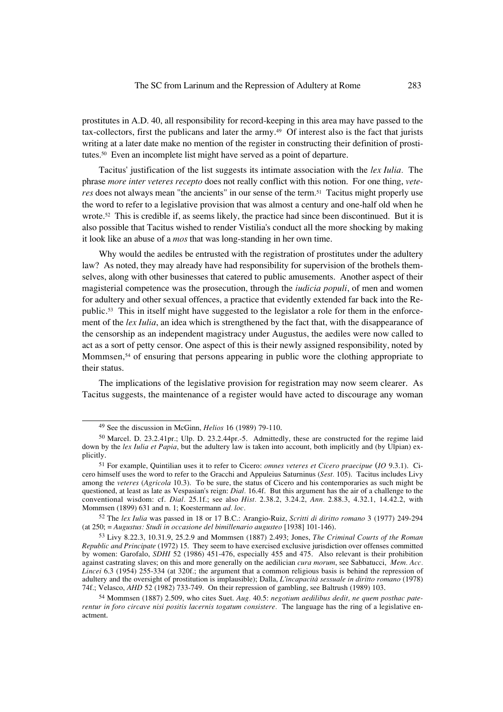prostitutes in A.D. 40, all responsibility for record-keeping in this area may have passed to the tax-collectors, first the publicans and later the army.49 Of interest also is the fact that jurists writing at a later date make no mention of the register in constructing their definition of prostitutes.50 Even an incomplete list might have served as a point of departure.

Tacitus' justification of the list suggests its intimate association with the *lex Iulia.* The phrase *more inter veteres recepto* does not really conflict with this notion. For one thing, *veteres* does not always mean "the ancients" in our sense of the term.<sup>51</sup> Tacitus might properly use the word to refer to a legislative provision that was almost a century and one-half old when he wrote.52 This is credible if, as seems likely, the practice had since been discontinued. But it is also possible that Tacitus wished to render Vistilia's conduct all the more shocking by making it look like an abuse of a *mos* that was long-standing in her own time.

Why would the aediles be entrusted with the registration of prostitutes under the adultery law? As noted, they may already have had responsibility for supervision of the brothels themselves, along with other businesses that catered to public amusements. Another aspect of their magisterial competence was the prosecution, through the *iudicia populi*, of men and women for adultery and other sexual offences, a practice that evidently extended far back into the Republic.53 This in itself might have suggested to the legislator a role for them in the enforcement of the *lex Iulia*, an idea which is strengthened by the fact that, with the disappearance of the censorship as an independent magistracy under Augustus, the aediles were now called to act as a sort of petty censor. One aspect of this is their newly assigned responsibility, noted by Mommsen, $54$  of ensuring that persons appearing in public wore the clothing appropriate to their status.

The implications of the legislative provision for registration may now seem clearer. As Tacitus suggests, the maintenance of a register would have acted to discourage any woman

<sup>49</sup> See the discussion in McGinn, *Helios* 16 (1989) 79-110.

<sup>50</sup> Marcel. D. 23.2.41pr.; Ulp. D. 23.2.44pr.-5. Admittedly, these are constructed for the regime laid down by the *lex Iulia et Papia*, but the adultery law is taken into account, both implicitly and (by Ulpian) explicitly.

<sup>51</sup> For example, Quintilian uses it to refer to Cicero: *omnes veteres et Cicero praecipue* (*IO* 9.3.1). Cicero himself uses the word to refer to the Gracchi and Appuleius Saturninus (*Sest.* 105). Tacitus includes Livy among the *veteres* (*Agricola* 10.3). To be sure, the status of Cicero and his contemporaries as such might be questioned, at least as late as Vespasian's reign: *Dial.* 16.4f. But this argument has the air of a challenge to the conventional wisdom: cf. *Dial.* 25.1f.; see also *Hist.* 2.38.2, 3.24.2, *Ann.* 2.88.3, 4.32.1, 14.42.2, with Mommsen (1899) 631 and n. 1; Koestermann *ad. loc.*

<sup>52</sup> The *lex Iulia* was passed in 18 or 17 B.C.: Arangio-Ruiz, *Scritti di diritto romano* 3 (1977) 249-294 (at 250; = *Augustus: Studi in occasione del bimillenario augusteo* [1938] 101-146).

<sup>53</sup> Livy 8.22.3, 10.31.9, 25.2.9 and Mommsen (1887) 2.493; Jones, *The Criminal Courts of the Roman Republic and Principate* (1972) 15. They seem to have exercised exclusive jurisdiction over offenses committed by women: Garofalo, *SDHI* 52 (1986) 451-476, especially 455 and 475. Also relevant is their prohibition against castrating slaves; on this and more generally on the aedilician *cura morum*, see Sabbatucci, *Mem. Acc. Lincei* 6.3 (1954) 255-334 (at 320f.; the argument that a common religious basis is behind the repression of adultery and the oversight of prostitution is implausible); Dalla, *L'incapacità sessuale in diritto romano* (1978) 74f.; Velasco, *AHD* 52 (1982) 733-749. On their repression of gambling, see Baltrush (1989) 103.

<sup>54</sup> Mommsen (1887) 2.509, who cites Suet. *Aug.* 40.5: *negotium aedilibus dedit, ne quem posthac paterentur in foro circave nisi positis lacernis togatum consistere.* The language has the ring of a legislative enactment.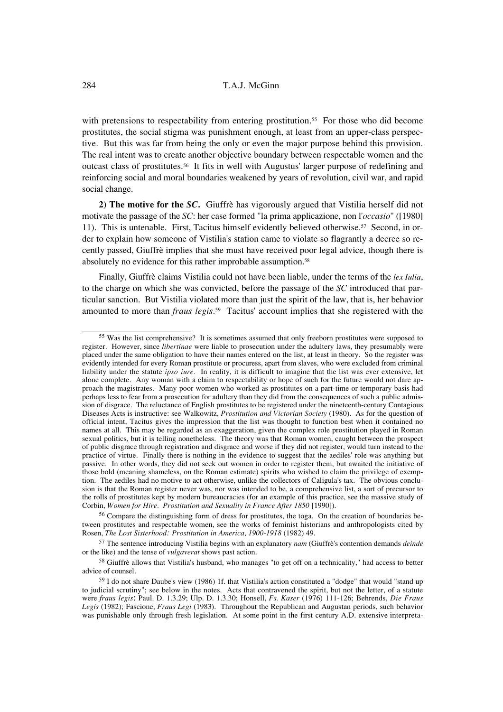with pretensions to respectability from entering prostitution.<sup>55</sup> For those who did become prostitutes, the social stigma was punishment enough, at least from an upper-class perspective. But this was far from being the only or even the major purpose behind this provision. The real intent was to create another objective boundary between respectable women and the outcast class of prostitutes.56 It fits in well with Augustus' larger purpose of redefining and reinforcing social and moral boundaries weakened by years of revolution, civil war, and rapid social change.

**2) The motive for the** *SC***.** Giuffrè has vigorously argued that Vistilia herself did not motivate the passage of the *SC*: her case formed "la prima applicazione, non l'*occasio*" ([1980] 11). This is untenable. First, Tacitus himself evidently believed otherwise.57 Second, in order to explain how someone of Vistilia's station came to violate so flagrantly a decree so recently passed, Giuffrè implies that she must have received poor legal advice, though there is absolutely no evidence for this rather improbable assumption.<sup>58</sup>

Finally, Giuffrè claims Vistilia could not have been liable, under the terms of the *lex Iulia*, to the charge on which she was convicted, before the passage of the *SC* introduced that particular sanction. But Vistilia violated more than just the spirit of the law, that is, her behavior amounted to more than *fraus legis.*59 Tacitus' account implies that she registered with the

<sup>55</sup> Was the list comprehensive? It is sometimes assumed that only freeborn prostitutes were supposed to register. However, since *libertinae* were liable to prosecution under the adultery laws, they presumably were placed under the same obligation to have their names entered on the list, at least in theory. So the register was evidently intended for every Roman prostitute or procuress, apart from slaves, who were excluded from criminal liability under the statute *ipso iure.* In reality, it is difficult to imagine that the list was ever extensive, let alone complete. Any woman with a claim to respectability or hope of such for the future would not dare approach the magistrates. Many poor women who worked as prostitutes on a part-time or temporary basis had perhaps less to fear from a prosecution for adultery than they did from the consequences of such a public admission of disgrace. The reluctance of English prostitutes to be registered under the nineteenth-century Contagious Diseases Acts is instructive: see Walkowitz, *Prostitution and Victorian Society* (1980). As for the question of official intent, Tacitus gives the impression that the list was thought to function best when it contained no names at all. This may be regarded as an exaggeration, given the complex role prostitution played in Roman sexual politics, but it is telling nonetheless. The theory was that Roman women, caught between the prospect of public disgrace through registration and disgrace and worse if they did not register, would turn instead to the practice of virtue. Finally there is nothing in the evidence to suggest that the aediles' role was anything but passive. In other words, they did not seek out women in order to register them, but awaited the initiative of those bold (meaning shameless, on the Roman estimate) spirits who wished to claim the privilege of exemption. The aediles had no motive to act otherwise, unlike the collectors of Caligula's tax. The obvious conclusion is that the Roman register never was, nor was intended to be, a comprehensive list, a sort of precursor to the rolls of prostitutes kept by modern bureaucracies (for an example of this practice, see the massive study of Corbin, *Women for Hire. Prostitution and Sexuality in France After 1850* [1990]).

<sup>56</sup> Compare the distinguishing form of dress for prostitutes, the toga. On the creation of boundaries between prostitutes and respectable women, see the works of feminist historians and anthropologists cited by Rosen, *The Lost Sisterhood: Prostitution in America, 1900-1918* (1982) 49.

<sup>57</sup> The sentence introducing Vistilia begins with an explanatory *nam* (Giuffrè's contention demands *deinde* or the like) and the tense of *vulgaverat* shows past action.

<sup>58</sup> Giuffrè allows that Vistilia's husband, who manages "to get off on a technicality," had access to better advice of counsel.

<sup>59</sup> I do not share Daube's view (1986) 1f. that Vistilia's action constituted a "dodge" that would "stand up to judicial scrutiny"; see below in the notes. Acts that contravened the spirit, but not the letter, of a statute were *fraus legis*: Paul. D. 1.3.29; Ulp. D. 1.3.30; Honsell, *Fs. Kaser* (1976) 111-126; Behrends, *Die Fraus Legis* (1982); Fascione, *Fraus Legi* (1983). Throughout the Republican and Augustan periods, such behavior was punishable only through fresh legislation. At some point in the first century A.D. extensive interpreta-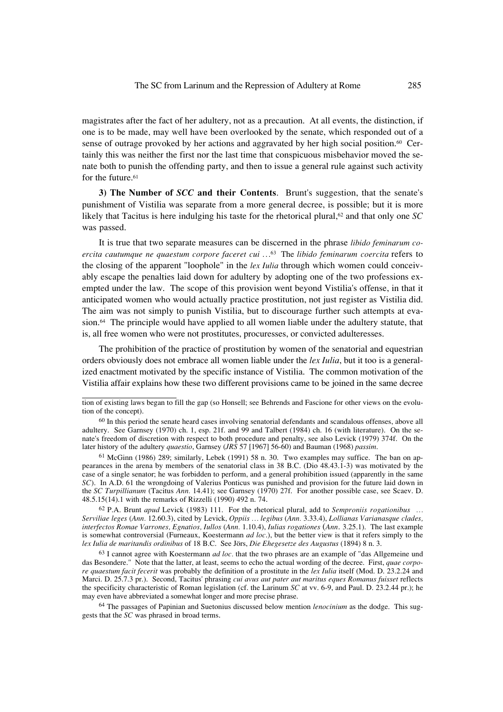magistrates after the fact of her adultery, not as a precaution. At all events, the distinction, if one is to be made, may well have been overlooked by the senate, which responded out of a sense of outrage provoked by her actions and aggravated by her high social position.<sup>60</sup> Certainly this was neither the first nor the last time that conspicuous misbehavior moved the senate both to punish the offending party, and then to issue a general rule against such activity for the future.<sup>61</sup>

**3) The Number of** *SCC* **and their Contents**. Brunt's suggestion, that the senate's punishment of Vistilia was separate from a more general decree, is possible; but it is more likely that Tacitus is here indulging his taste for the rhetorical plural,<sup>62</sup> and that only one *SC* was passed.

It is true that two separate measures can be discerned in the phrase *libido feminarum coercita cautumque ne quaestum corpore faceret cui …*63 The *libido feminarum coercita* refers to the closing of the apparent "loophole" in the *lex Iulia* through which women could conceivably escape the penalties laid down for adultery by adopting one of the two professions exempted under the law. The scope of this provision went beyond Vistilia's offense, in that it anticipated women who would actually practice prostitution, not just register as Vistilia did. The aim was not simply to punish Vistilia, but to discourage further such attempts at evasion.<sup>64</sup> The principle would have applied to all women liable under the adultery statute, that is, all free women who were not prostitutes, procuresses, or convicted adulteresses.

The prohibition of the practice of prostitution by women of the senatorial and equestrian orders obviously does not embrace all women liable under the *lex Iulia*, but it too is a generalized enactment motivated by the specific instance of Vistilia. The common motivation of the Vistilia affair explains how these two different provisions came to be joined in the same decree

 $61$  McGinn (1986) 289; similarly, Lebek (1991) 58 n. 30. Two examples may suffice. The ban on appearances in the arena by members of the senatorial class in 38 B.C. (Dio 48.43.1-3) was motivated by the case of a single senator; he was forbidden to perform, and a general prohibition issued (apparently in the same *SC*). In A.D. 61 the wrongdoing of Valerius Ponticus was punished and provision for the future laid down in the *SC Turpillianum* (Tacitus *Ann.* 14.41); see Garnsey (1970) 27f. For another possible case, see Scaev. D. 48.5.15(14).1 with the remarks of Rizzelli (1990) 492 n. 74.

<sup>62</sup> P.A. Brunt *apud* Levick (1983) 111. For the rhetorical plural, add to *Semproniis rogationibus … Serviliae leges* (*Ann.* 12.60.3), cited by Levick, *Oppiis … legibus* (*Ann.* 3.33.4), *Lollianas Varianasque clades, interfectos Romae Varrones, Egnatios, Iullos* (*Ann.* 1.10.4), *Iulias rogationes* (*Ann.* 3.25.1). The last example is somewhat controversial (Furneaux, Koestermann *ad loc*.), but the better view is that it refers simply to the *lex Iulia de maritandis ordinibus* of 18 B.C. See Jörs, *Die Ehegesetze des Augustus* (1894) 8 n. 3.

<sup>63</sup> I cannot agree with Koestermann *ad loc.* that the two phrases are an example of "das Allgemeine und das Besondere." Note that the latter, at least, seems to echo the actual wording of the decree. First, *quae corpore quaestum facit fecerit* was probably the definition of a prostitute in the *lex Iulia* itself (Mod. D. 23.2.24 and Marci. D. 25.7.3 pr.). Second, Tacitus' phrasing *cui avus aut pater aut maritus eques Romanus fuisset* reflects the specificity characteristic of Roman legislation (cf. the Larinum *SC* at vv. 6-9, and Paul. D. 23.2.44 pr.); he may even have abbreviated a somewhat longer and more precise phrase.

<sup>64</sup> The passages of Papinian and Suetonius discussed below mention *lenocinium* as the dodge. This suggests that the *SC* was phrased in broad terms.

tion of existing laws began to fill the gap (so Honsell; see Behrends and Fascione for other views on the evolution of the concept).

<sup>&</sup>lt;sup>60</sup> In this period the senate heard cases involving senatorial defendants and scandalous offenses, above all adultery. See Garnsey (1970) ch. 1, esp. 21f. and 99 and Talbert (1984) ch. 16 (with literature). On the senate's freedom of discretion with respect to both procedure and penalty, see also Levick (1979) 374f. On the later history of the adultery *quaestio*, Garnsey (*JRS* 57 [1967] 56-60) and Bauman (1968) *passim*.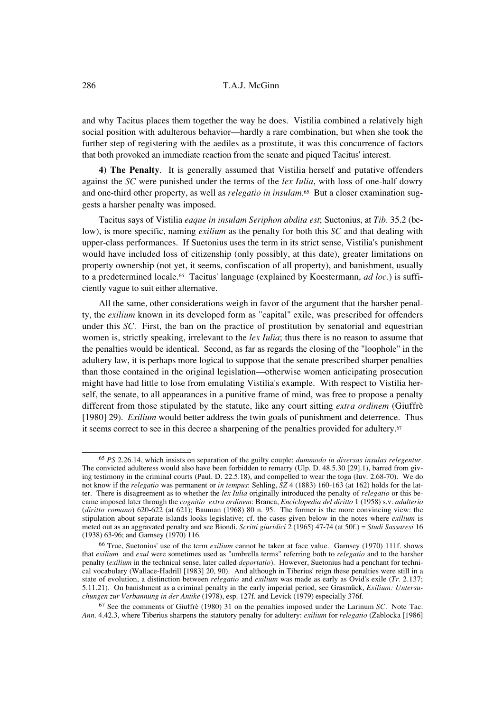and why Tacitus places them together the way he does. Vistilia combined a relatively high social position with adulterous behavior—hardly a rare combination, but when she took the further step of registering with the aediles as a prostitute, it was this concurrence of factors that both provoked an immediate reaction from the senate and piqued Tacitus' interest.

**4) The Penalty**. It is generally assumed that Vistilia herself and putative offenders against the *SC* were punished under the terms of the *lex Iulia*, with loss of one-half dowry and one-third other property, as well as *relegatio in insulam.*65 But a closer examination suggests a harsher penalty was imposed.

Tacitus says of Vistilia *eaque in insulam Seriphon abdita est*; Suetonius, at *Tib.* 35.2 (below), is more specific, naming *exilium* as the penalty for both this *SC* and that dealing with upper-class performances. If Suetonius uses the term in its strict sense, Vistilia's punishment would have included loss of citizenship (only possibly, at this date), greater limitations on property ownership (not yet, it seems, confiscation of all property), and banishment, usually to a predetermined locale.66 Tacitus' language (explained by Koestermann, *ad loc*.) is sufficiently vague to suit either alternative.

All the same, other considerations weigh in favor of the argument that the harsher penalty, the *exilium* known in its developed form as "capital" exile, was prescribed for offenders under this *SC.* First, the ban on the practice of prostitution by senatorial and equestrian women is, strictly speaking, irrelevant to the *lex Iulia*; thus there is no reason to assume that the penalties would be identical. Second, as far as regards the closing of the "loophole" in the adultery law, it is perhaps more logical to suppose that the senate prescribed sharper penalties than those contained in the original legislation—otherwise women anticipating prosecution might have had little to lose from emulating Vistilia's example. With respect to Vistilia herself, the senate, to all appearances in a punitive frame of mind, was free to propose a penalty different from those stipulated by the statute, like any court sitting *extra ordinem* (Giuffrè [1980] 29). *Exilium* would better address the twin goals of punishment and deterrence. Thus it seems correct to see in this decree a sharpening of the penalties provided for adultery.<sup>67</sup>

<sup>65</sup> *PS* 2.26.14, which insists on separation of the guilty couple: *dummodo in diversas insulas relegentur.* The convicted adulteress would also have been forbidden to remarry (Ulp. D. 48.5.30 [29].1), barred from giving testimony in the criminal courts (Paul. D. 22.5.18), and compelled to wear the toga (Iuv. 2.68-70). We do not know if the *relegatio* was permanent or *in tempus*: Sehling, *SZ* 4 (1883) 160-163 (at 162) holds for the latter. There is disagreement as to whether the *lex Iulia* originally introduced the penalty of *relegatio* or this became imposed later through the *cognitio extra ordinem*: Branca, *Enciclopedia del diritto* 1 (1958) s.v. *adulterio* (*diritto romano*) 620-622 (at 621); Bauman (1968) 80 n. 95. The former is the more convincing view: the stipulation about separate islands looks legislative; cf. the cases given below in the notes where *exilium* is meted out as an aggravated penalty and see Biondi, *Scritti giuridici* 2 (1965) 47-74 (at 50f.) = *Studi Sassaresi* 16 (1938) 63-96; and Garnsey (1970) 116.

<sup>66</sup> True, Suetonius' use of the term *exilium* cannot be taken at face value. Garnsey (1970) 111f. shows that *exilium* and *exul* were sometimes used as "umbrella terms" referring both to *relegatio* and to the harsher penalty (*exilium* in the technical sense, later called *deportatio*). However, Suetonius had a penchant for technical vocabulary (Wallace-Hadrill [1983] 20, 90). And although in Tiberius' reign these penalties were still in a state of evolution, a distinction between *relegatio* and *exilium* was made as early as Ovid's exile (*Tr.* 2.137; 5.11.21). On banishment as a criminal penalty in the early imperial period, see Grasmück, *Exilium: Untersuchungen zur Verbannung in der Antike* (1978), esp. 127f. and Levick (1979) especially 376f.

<sup>67</sup> See the comments of Giuffrè (1980) 31 on the penalties imposed under the Larinum *SC.* Note Tac. *Ann.* 4.42.3, where Tiberius sharpens the statutory penalty for adultery: *exilium* for *relegatio* (Zablocka [1986]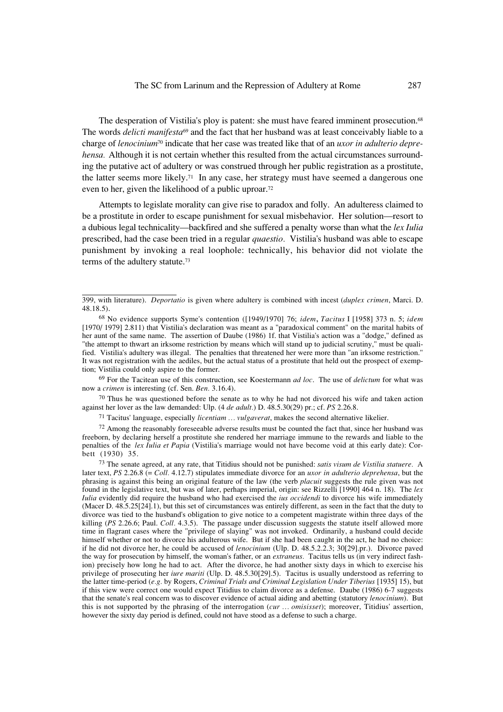The desperation of Vistilia's ploy is patent: she must have feared imminent prosecution.68 The words *delicti manifesta*69 and the fact that her husband was at least conceivably liable to a charge of *lenocinium*70 indicate that her case was treated like that of an *uxor in adulterio deprehensa*. Although it is not certain whether this resulted from the actual circumstances surrounding the putative act of adultery or was construed through her public registration as a prostitute, the latter seems more likely.<sup>71</sup> In any case, her strategy must have seemed a dangerous one even to her, given the likelihood of a public uproar.72

Attempts to legislate morality can give rise to paradox and folly. An adulteress claimed to be a prostitute in order to escape punishment for sexual misbehavior. Her solution—resort to a dubious legal technicality—backfired and she suffered a penalty worse than what the *lex Iulia* prescribed, had the case been tried in a regular *quaestio.* Vistilia's husband was able to escape punishment by invoking a real loophole: technically, his behavior did not violate the terms of the adultery statute.73

<sup>69</sup> For the Tacitean use of this construction, see Koestermann *ad loc*. The use of *delictum* for what was now a *crimen* is interesting (cf. Sen. *Ben.* 3.16.4).

 $70$  Thus he was questioned before the senate as to why he had not divorced his wife and taken action against her lover as the law demanded: Ulp. (4 *de adult.*) D. 48.5.30(29) pr.; cf. *PS* 2.26.8.

<sup>71</sup> Tacitus' language, especially *licentiam … vulgaverat*, makes the second alternative likelier.

<sup>72</sup> Among the reasonably foreseeable adverse results must be counted the fact that, since her husband was freeborn, by declaring herself a prostitute she rendered her marriage immune to the rewards and liable to the penalties of the *lex Iulia et Papia* (Vistilia's marriage would not have become void at this early date): Corbett (1930) 35.

<sup>73</sup> The senate agreed, at any rate, that Titidius should not be punished: *satis visum de Vistilia statuere.* A later text, *PS* 2.26.8 (= *Coll.* 4.12.7) stipulates immediate divorce for an *uxor in adulterio deprehensa*, but the phrasing is against this being an original feature of the law (the verb *placuit* suggests the rule given was not found in the legislative text, but was of later, perhaps imperial, origin: see Rizzelli [1990] 464 n. 18). The *lex Iulia* evidently did require the husband who had exercised the *ius occidendi* to divorce his wife immediately (Macer D. 48.5.25[24].1), but this set of circumstances was entirely different, as seen in the fact that the duty to divorce was tied to the husband's obligation to give notice to a competent magistrate within three days of the killing (PS 2.26.6; Paul. *Coll.* 4.3.5). The passage under discussion suggests the statute itself allowed more time in flagrant cases where the "privilege of slaying" was not invoked. Ordinarily, a husband could decide himself whether or not to divorce his adulterous wife. But if she had been caught in the act, he had no choice: if he did not divorce her, he could be accused of *lenocinium* (Ulp. D. 48.5.2.2.3; 30[29].pr.). Divorce paved the way for prosecution by himself, the woman's father, or an *extraneus.* Tacitus tells us (in very indirect fashion) precisely how long he had to act. After the divorce, he had another sixty days in which to exercise his privilege of prosecuting her *iure mariti* (Ulp. D. 48.5.30[29].5). Tacitus is usually understood as referring to the latter time-period (*e.g.* by Rogers, *Criminal Trials and Criminal Legislation Under Tiberius* [1935] 15), but if this view were correct one would expect Titidius to claim divorce as a defense. Daube (1986) 6-7 suggests that the senate's real concern was to discover evidence of actual aiding and abetting (statutory *lenocinium*). But this is not supported by the phrasing of the interrogation (*cur … omisisset*); moreover, Titidius' assertion, however the sixty day period is defined, could not have stood as a defense to such a charge.

<sup>399,</sup> with literature). *Deportatio* is given where adultery is combined with incest (*duplex crimen*, Marci. D. 48.18.5).

<sup>68</sup> No evidence supports Syme's contention ([1949/1970] 76; *idem*, *Tacitus* I [1958] 373 n. 5; *idem* [1970/ 1979] 2.811) that Vistilia's declaration was meant as a "paradoxical comment" on the marital habits of her aunt of the same name. The assertion of Daube (1986) 1f. that Vistilia's action was a "dodge," defined as "the attempt to thwart an irksome restriction by means which will stand up to judicial scrutiny," must be qualified. Vistilia's adultery was illegal. The penalties that threatened her were more than "an irksome restriction." It was not registration with the aediles, but the actual status of a prostitute that held out the prospect of exemption; Vistilia could only aspire to the former.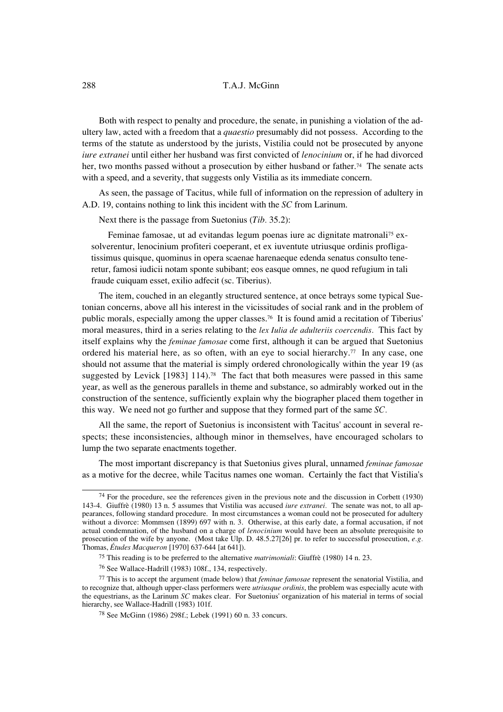Both with respect to penalty and procedure, the senate, in punishing a violation of the adultery law, acted with a freedom that a *quaestio* presumably did not possess. According to the terms of the statute as understood by the jurists, Vistilia could not be prosecuted by anyone *iure extranei* until either her husband was first convicted of *lenocinium* or, if he had divorced her, two months passed without a prosecution by either husband or father.<sup>74</sup> The senate acts with a speed, and a severity, that suggests only Vistilia as its immediate concern.

As seen, the passage of Tacitus, while full of information on the repression of adultery in A.D. 19, contains nothing to link this incident with the *SC* from Larinum.

Next there is the passage from Suetonius (*Tib.* 35.2):

Feminae famosae, ut ad evitandas legum poenas iure ac dignitate matronali75 exsolverentur, lenocinium profiteri coeperant, et ex iuventute utriusque ordinis profligatissimus quisque, quominus in opera scaenae harenaeque edenda senatus consulto teneretur, famosi iudicii notam sponte subibant; eos easque omnes, ne quod refugium in tali fraude cuiquam esset, exilio adfecit (sc. Tiberius).

The item, couched in an elegantly structured sentence, at once betrays some typical Suetonian concerns, above all his interest in the vicissitudes of social rank and in the problem of public morals, especially among the upper classes.76 It is found amid a recitation of Tiberius' moral measures, third in a series relating to the *lex Iulia de adulteriis coercendis.* This fact by itself explains why the *feminae famosae* come first, although it can be argued that Suetonius ordered his material here, as so often, with an eye to social hierarchy.<sup>77</sup> In any case, one should not assume that the material is simply ordered chronologically within the year 19 (as suggested by Levick [1983] 114).<sup>78</sup> The fact that both measures were passed in this same year, as well as the generous parallels in theme and substance, so admirably worked out in the construction of the sentence, sufficiently explain why the biographer placed them together in this way. We need not go further and suppose that they formed part of the same *SC.*

All the same, the report of Suetonius is inconsistent with Tacitus' account in several respects; these inconsistencies, although minor in themselves, have encouraged scholars to lump the two separate enactments together.

The most important discrepancy is that Suetonius gives plural, unnamed *feminae famosae* as a motive for the decree, while Tacitus names one woman. Certainly the fact that Vistilia's

 $74$  For the procedure, see the references given in the previous note and the discussion in Corbett (1930) 143-4. Giuffrè (1980) 13 n. 5 assumes that Vistilia was accused *iure extranei.* The senate was not, to all appearances, following standard procedure. In most circumstances a woman could not be prosecuted for adultery without a divorce: Mommsen (1899) 697 with n. 3. Otherwise, at this early date, a formal accusation, if not actual condemnation, of the husband on a charge of *lenocinium* would have been an absolute prerequisite to prosecution of the wife by anyone. (Most take Ulp. D. 48.5.27[26] pr. to refer to successful prosecution, *e.g.* Thomas, *Études Macqueron* [1970] 637-644 [at 641]).

<sup>75</sup> This reading is to be preferred to the alternative *matrimoniali*: Giuffrè (1980) 14 n. 23.

<sup>76</sup> See Wallace-Hadrill (1983) 108f., 134, respectively.

<sup>77</sup> This is to accept the argument (made below) that *feminae famosae* represent the senatorial Vistilia, and to recognize that, although upper-class performers were *utriusque ordinis*, the problem was especially acute with the equestrians, as the Larinum *SC* makes clear. For Suetonius' organization of his material in terms of social hierarchy, see Wallace-Hadrill (1983) 101f.

<sup>78</sup> See McGinn (1986) 298f.; Lebek (1991) 60 n. 33 concurs.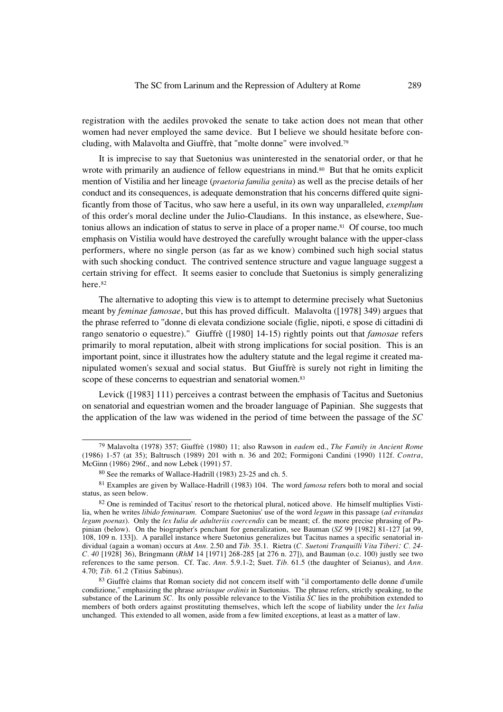registration with the aediles provoked the senate to take action does not mean that other women had never employed the same device. But I believe we should hesitate before concluding, with Malavolta and Giuffrè, that "molte donne" were involved.79

It is imprecise to say that Suetonius was uninterested in the senatorial order, or that he wrote with primarily an audience of fellow equestrians in mind.<sup>80</sup> But that he omits explicit mention of Vistilia and her lineage (*praetoria familia genita*) as well as the precise details of her conduct and its consequences, is adequate demonstration that his concerns differed quite significantly from those of Tacitus, who saw here a useful, in its own way unparalleled, *exemplum* of this order's moral decline under the Julio-Claudians. In this instance, as elsewhere, Suetonius allows an indication of status to serve in place of a proper name.<sup>81</sup> Of course, too much emphasis on Vistilia would have destroyed the carefully wrought balance with the upper-class performers, where no single person (as far as we know) combined such high social status with such shocking conduct. The contrived sentence structure and vague language suggest a certain striving for effect. It seems easier to conclude that Suetonius is simply generalizing here.82

The alternative to adopting this view is to attempt to determine precisely what Suetonius meant by *feminae famosae*, but this has proved difficult. Malavolta ([1978] 349) argues that the phrase referred to "donne di elevata condizione sociale (figlie, nipoti, e spose di cittadini di rango senatorio o equestre)." Giuffrè ([1980] 14-15) rightly points out that *famosae* refers primarily to moral reputation, albeit with strong implications for social position. This is an important point, since it illustrates how the adultery statute and the legal regime it created manipulated women's sexual and social status. But Giuffrè is surely not right in limiting the scope of these concerns to equestrian and senatorial women.<sup>83</sup>

Levick ([1983] 111) perceives a contrast between the emphasis of Tacitus and Suetonius on senatorial and equestrian women and the broader language of Papinian. She suggests that the application of the law was widened in the period of time between the passage of the *SC*

<sup>79</sup> Malavolta (1978) 357; Giuffrè (1980) 11; also Rawson in *eadem* ed., *The Family in Ancient Rome* (1986) 1-57 (at 35); Baltrusch (1989) 201 with n. 36 and 202; Formigoni Candini (1990) 112f. *Contra*, McGinn (1986) 296f., and now Lebek (1991) 57.

<sup>80</sup> See the remarks of Wallace-Hadrill (1983) 23-25 and ch. 5.

<sup>81</sup> Examples are given by Wallace-Hadrill (1983) 104. The word *famosa* refers both to moral and social status, as seen below.

<sup>82</sup> One is reminded of Tacitus' resort to the rhetorical plural, noticed above. He himself multiplies Vistilia, when he writes *libido feminarum.* Compare Suetonius' use of the word *legum* in this passage (*ad evitandas legum poenas*). Only the *lex Iulia de adulteriis coercendis* can be meant; cf. the more precise phrasing of Papinian (below). On the biographer's penchant for generalization, see Bauman (*SZ* 99 [1982] 81-127 [at 99, 108, 109 n. 133]). A parallel instance where Suetonius generalizes but Tacitus names a specific senatorial individual (again a woman) occurs at *Ann.* 2.50 and *Tib.* 35.1. Rietra (*C. Suetoni Tranquilli Vita Tiberi: C. 24- C. 40* [1928] 36), Bringmann (*RhM* 14 [1971] 268-285 [at 276 n. 27]), and Bauman (o.c. 100) justly see two references to the same person. Cf. Tac. *Ann.* 5.9.1-2; Suet. *Tib.* 61.5 (the daughter of Seianus), and *Ann.* 4.70; *Tib.* 61.2 (Titius Sabinus).

<sup>83</sup> Giuffrè claims that Roman society did not concern itself with "il comportamento delle donne d'umile condizione," emphasizing the phrase *utriusque ordinis* in Suetonius. The phrase refers, strictly speaking, to the substance of the Larinum *SC.* Its only possible relevance to the Vistilia *SC* lies in the prohibition extended to members of both orders against prostituting themselves, which left the scope of liability under the *lex Iulia* unchanged. This extended to all women, aside from a few limited exceptions, at least as a matter of law.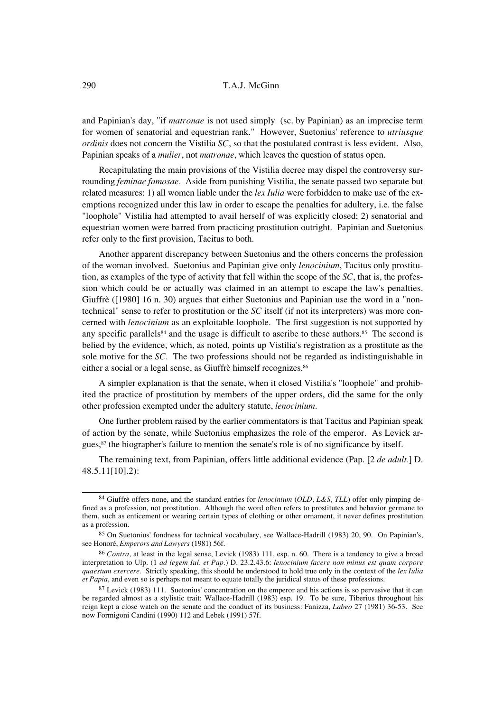and Papinian's day, "if *matronae* is not used simply (sc. by Papinian) as an imprecise term for women of senatorial and equestrian rank." However, Suetonius' reference to *utriusque ordinis* does not concern the Vistilia *SC*, so that the postulated contrast is less evident. Also, Papinian speaks of a *mulier*, not *matronae*, which leaves the question of status open.

Recapitulating the main provisions of the Vistilia decree may dispel the controversy surrounding *feminae famosae.* Aside from punishing Vistilia, the senate passed two separate but related measures: 1) all women liable under the *lex Iulia* were forbidden to make use of the exemptions recognized under this law in order to escape the penalties for adultery, i.e. the false "loophole" Vistilia had attempted to avail herself of was explicitly closed; 2) senatorial and equestrian women were barred from practicing prostitution outright. Papinian and Suetonius refer only to the first provision, Tacitus to both.

Another apparent discrepancy between Suetonius and the others concerns the profession of the woman involved. Suetonius and Papinian give only *lenocinium*, Tacitus only prostitution, as examples of the type of activity that fell within the scope of the *SC*, that is, the profession which could be or actually was claimed in an attempt to escape the law's penalties. Giuffrè ([1980] 16 n. 30) argues that either Suetonius and Papinian use the word in a "nontechnical" sense to refer to prostitution or the *SC* itself (if not its interpreters) was more concerned with *lenocinium* as an exploitable loophole. The first suggestion is not supported by any specific parallels<sup>84</sup> and the usage is difficult to ascribe to these authors.<sup>85</sup> The second is belied by the evidence, which, as noted, points up Vistilia's registration as a prostitute as the sole motive for the *SC.* The two professions should not be regarded as indistinguishable in either a social or a legal sense, as Giuffrè himself recognizes.<sup>86</sup>

A simpler explanation is that the senate, when it closed Vistilia's "loophole" and prohibited the practice of prostitution by members of the upper orders, did the same for the only other profession exempted under the adultery statute, *lenocinium.*

One further problem raised by the earlier commentators is that Tacitus and Papinian speak of action by the senate, while Suetonius emphasizes the role of the emperor. As Levick argues,<sup>87</sup> the biographer's failure to mention the senate's role is of no significance by itself.

The remaining text, from Papinian, offers little additional evidence (Pap. [2 *de adult.*] D. 48.5.11[10].2):

<sup>84</sup> Giuffrè offers none, and the standard entries for *lenocinium* (*OLD, L&S, TLL*) offer only pimping defined as a profession, not prostitution. Although the word often refers to prostitutes and behavior germane to them, such as enticement or wearing certain types of clothing or other ornament, it never defines prostitution as a profession.

<sup>85</sup> On Suetonius' fondness for technical vocabulary, see Wallace-Hadrill (1983) 20, 90. On Papinian's, see Honoré, *Emperors and Lawyers* (1981) 56f.

<sup>86</sup> *Contra*, at least in the legal sense, Levick (1983) 111, esp. n. 60. There is a tendency to give a broad interpretation to Ulp. (1 *ad legem Iul. et Pap.*) D. 23.2.43.6: *lenocinium facere non minus est quam corpore quaestum exercere.* Strictly speaking, this should be understood to hold true only in the context of the *lex Iulia et Papia*, and even so is perhaps not meant to equate totally the juridical status of these professions.

<sup>87</sup> Levick (1983) 111. Suetonius' concentration on the emperor and his actions is so pervasive that it can be regarded almost as a stylistic trait: Wallace-Hadrill (1983) esp. 19. To be sure, Tiberius throughout his reign kept a close watch on the senate and the conduct of its business: Fanizza, *Labeo* 27 (1981) 36-53. See now Formigoni Candini (1990) 112 and Lebek (1991) 57f.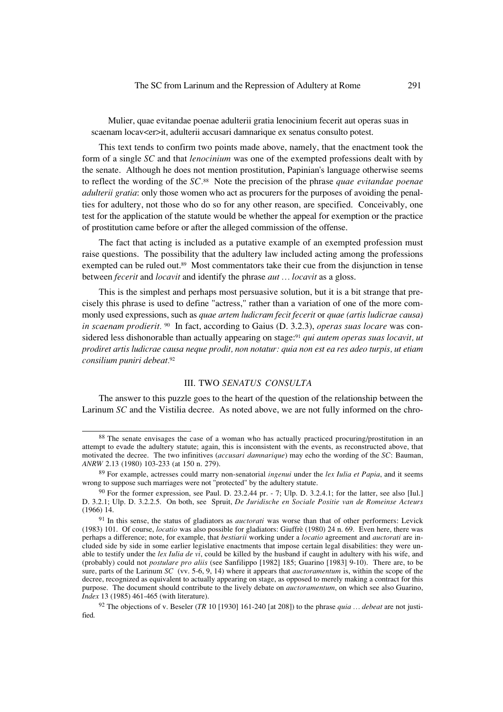Mulier, quae evitandae poenae adulterii gratia lenocinium fecerit aut operas suas in scaenam locav<er>it, adulterii accusari damnarique ex senatus consulto potest.

This text tends to confirm two points made above, namely, that the enactment took the form of a single *SC* and that *lenocinium* was one of the exempted professions dealt with by the senate. Although he does not mention prostitution, Papinian's language otherwise seems to reflect the wording of the *SC.*88 Note the precision of the phrase *quae evitandae poenae adulterii gratia*: only those women who act as procurers for the purposes of avoiding the penalties for adultery, not those who do so for any other reason, are specified. Conceivably, one test for the application of the statute would be whether the appeal for exemption or the practice of prostitution came before or after the alleged commission of the offense.

The fact that acting is included as a putative example of an exempted profession must raise questions. The possibility that the adultery law included acting among the professions exempted can be ruled out.<sup>89</sup> Most commentators take their cue from the disjunction in tense between *fecerit* and *locavit* and identify the phrase *aut … locavit* as a gloss.

This is the simplest and perhaps most persuasive solution, but it is a bit strange that precisely this phrase is used to define "actress," rather than a variation of one of the more commonly used expressions, such as *quae artem ludicram fecit fecerit* or *quae (artis ludicrae causa) in scaenam prodierit.* 90 In fact, according to Gaius (D. 3.2.3), *operas suas locare* was considered less dishonorable than actually appearing on stage:91 *qui autem operas suas locavit, ut prodiret artis ludicrae causa neque prodit, non notatur: quia non est ea res adeo turpis, ut etiam consilium puniri debeat.*<sup>92</sup>

# III. TWO *SENATUS CONSULTA*

The answer to this puzzle goes to the heart of the question of the relationship between the Larinum *SC* and the Vistilia decree. As noted above, we are not fully informed on the chro-

<sup>88</sup> The senate envisages the case of a woman who has actually practiced procuring/prostitution in an attempt to evade the adultery statute; again, this is inconsistent with the events, as reconstructed above, that motivated the decree. The two infinitives (*accusari damnarique*) may echo the wording of the *SC*: Bauman, *ANRW* 2.13 (1980) 103-233 (at 150 n. 279).

<sup>89</sup> For example, actresses could marry non-senatorial *ingenui* under the *lex Iulia et Papia*, and it seems wrong to suppose such marriages were not "protected" by the adultery statute.

<sup>90</sup> For the former expression, see Paul. D. 23.2.44 pr. - 7; Ulp. D. 3.2.4.1; for the latter, see also [Iul.] D. 3.2.1; Ulp. D. 3.2.2.5. On both, see Spruit, *De Juridische en Sociale Positie van de Romeinse Acteurs* (1966) 14.

<sup>91</sup> In this sense, the status of gladiators as *auctorati* was worse than that of other performers: Levick (1983) 101. Of course, *locatio* was also possible for gladiators: Giuffrè (1980) 24 n. 69. Even here, there was perhaps a difference; note, for example, that *bestiarii* working under a *locatio* agreement and *auctorati* are included side by side in some earlier legislative enactments that impose certain legal disabilities: they were unable to testify under the *lex Iulia de vi*, could be killed by the husband if caught in adultery with his wife, and (probably) could not *postulare pro aliis* (see Sanfilippo [1982] 185; Guarino [1983] 9-10). There are, to be sure, parts of the Larinum *SC* (vv. 5-6, 9, 14) where it appears that *auctoramentum* is, within the scope of the decree, recognized as equivalent to actually appearing on stage, as opposed to merely making a contract for this purpose. The document should contribute to the lively debate on *auctoramentum*, on which see also Guarino, *Index* 13 (1985) 461-465 (with literature).

<sup>92</sup> The objections of v. Beseler (*TR* 10 [1930] 161-240 [at 208]) to the phrase *quia … debeat* are not justified.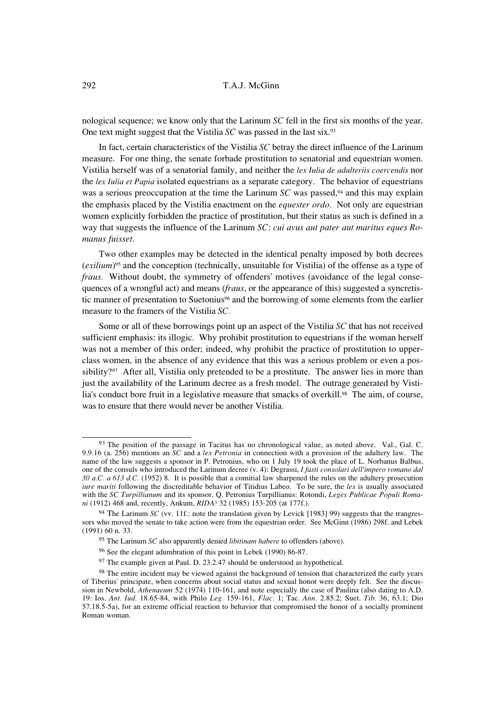nological sequence; we know only that the Larinum *SC* fell in the first six months of the year. One text might suggest that the Vistilia *SC* was passed in the last six.93

In fact, certain characteristics of the Vistilia *SC* betray the direct influence of the Larinum measure. For one thing, the senate forbade prostitution to senatorial and equestrian women. Vistilia herself was of a senatorial family, and neither the *lex Iulia de adulteriis coercendis* nor the *lex Iulia et Papia* isolated equestrians as a separate category. The behavior of equestrians was a serious preoccupation at the time the Larinum *SC* was passed,<sup>94</sup> and this may explain the emphasis placed by the Vistilia enactment on the *equester ordo.* Not only are equestrian women explicitly forbidden the practice of prostitution, but their status as such is defined in a way that suggests the influence of the Larinum *SC*: *cui avus aut pater aut maritus eques Romanus fuisset.*

Two other examples may be detected in the identical penalty imposed by both decrees (*exilium*)95 and the conception (technically, unsuitable for Vistilia) of the offense as a type of *fraus.* Without doubt, the symmetry of offenders' motives (avoidance of the legal consequences of a wrongful act) and means (*fraus*, or the appearance of this) suggested a syncretistic manner of presentation to Suetonius<sup>96</sup> and the borrowing of some elements from the earlier measure to the framers of the Vistilia *SC.*

Some or all of these borrowings point up an aspect of the Vistilia *SC* that has not received sufficient emphasis: its illogic. Why prohibit prostitution to equestrians if the woman herself was not a member of this order; indeed, why prohibit the practice of prostitution to upperclass women, in the absence of any evidence that this was a serious problem or even a possibility?<sup>97</sup> After all, Vistilia only pretended to be a prostitute. The answer lies in more than just the availability of the Larinum decree as a fresh model. The outrage generated by Vistilia's conduct bore fruit in a legislative measure that smacks of overkill.<sup>98</sup> The aim, of course, was to ensure that there would never be another Vistilia.

<sup>&</sup>lt;sup>93</sup> The position of the passage in Tacitus has no chronological value, as noted above. Val., Gal. C. 9.9.16 (a. 256) mentions an *SC* and a *lex Petronia* in connection with a provision of the adultery law. The name of the law suggests a sponsor in P. Petronius, who on 1 July 19 took the place of L. Norbanus Balbus, one of the consuls who introduced the Larinum decree (v. 4): Degrassi, *I fasti consolari dell'impero romano dal 30 a.C. a 613 d.C.* (1952) 8. It is possible that a comitial law sharpened the rules on the adultery prosecution *iure mariti* following the discreditable behavior of Titidius Labeo. To be sure, the *lex* is usually associated with the *SC Turpillianum* and its sponsor, Q. Petronius Turpillianus: Rotondi, *Leges Publicae Populi Romani* (1912) 468 and, recently, Ankum, *RIDA*3 32 (1985) 153-205 (at 177f.).

<sup>&</sup>lt;sup>94</sup> The Larinum *SC* (vv. 11f.: note the translation given by Levick [1983] 99) suggests that the trangressors who moved the senate to take action were from the equestrian order. See McGinn (1986) 298f. and Lebek (1991) 60 n. 33.

<sup>95</sup> The Larinum *SC* also apparently denied *libitinam habere* to offenders (above).

<sup>96</sup> See the elegant adumbration of this point in Lebek (1990) 86-87.

<sup>&</sup>lt;sup>97</sup> The example given at Paul. D. 23.2.47 should be understood as hypothetical.

<sup>&</sup>lt;sup>98</sup> The entire incident may be viewed against the background of tension that characterized the early years of Tiberius' principate, when concerns about social status and sexual honor were deeply felt. See the discussion in Newbold, *Athenaeum* 52 (1974) 110-161, and note especially the case of Paulina (also dating to A.D. 19: Ios. *Ant. Iud.* 18.65-84, with Philo *Leg.* 159-161, *Flac.* 1; Tac. *Ann.* 2.85.2; Suet. *Tib.* 36, 63.1; Dio 57.18.5-5a), for an extreme official reaction to behavior that compromised the honor of a socially prominent Roman woman.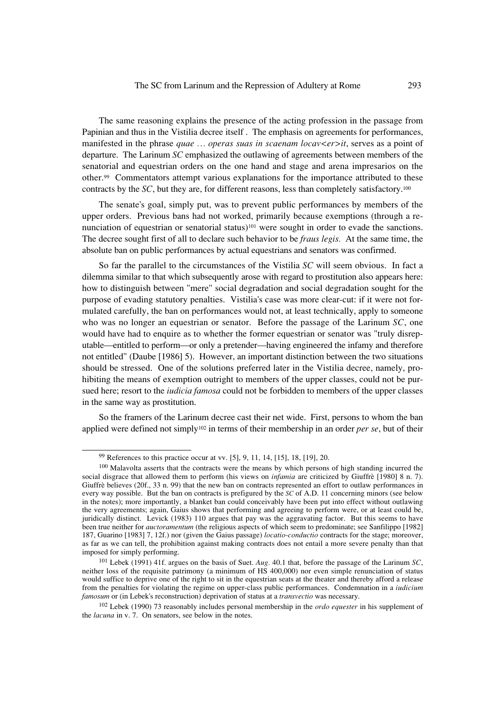The same reasoning explains the presence of the acting profession in the passage from Papinian and thus in the Vistilia decree itself . The emphasis on agreements for performances, manifested in the phrase *quae … operas suas in scaenam locav<er>it*, serves as a point of departure. The Larinum *SC* emphasized the outlawing of agreements between members of the senatorial and equestrian orders on the one hand and stage and arena impresarios on the other.99 Commentators attempt various explanations for the importance attributed to these contracts by the *SC*, but they are, for different reasons, less than completely satisfactory.<sup>100</sup>

The senate's goal, simply put, was to prevent public performances by members of the upper orders. Previous bans had not worked, primarily because exemptions (through a renunciation of equestrian or senatorial status)<sup>101</sup> were sought in order to evade the sanctions. The decree sought first of all to declare such behavior to be *fraus legis.* At the same time, the absolute ban on public performances by actual equestrians and senators was confirmed.

So far the parallel to the circumstances of the Vistilia *SC* will seem obvious. In fact a dilemma similar to that which subsequently arose with regard to prostitution also appears here: how to distinguish between "mere" social degradation and social degradation sought for the purpose of evading statutory penalties. Vistilia's case was more clear-cut: if it were not formulated carefully, the ban on performances would not, at least technically, apply to someone who was no longer an equestrian or senator. Before the passage of the Larinum *SC*, one would have had to enquire as to whether the former equestrian or senator was "truly disreputable—entitled to perform—or only a pretender—having engineered the infamy and therefore not entitled" (Daube [1986] 5). However, an important distinction between the two situations should be stressed. One of the solutions preferred later in the Vistilia decree, namely, prohibiting the means of exemption outright to members of the upper classes, could not be pursued here; resort to the *iudicia famosa* could not be forbidden to members of the upper classes in the same way as prostitution.

So the framers of the Larinum decree cast their net wide. First, persons to whom the ban applied were defined not simply102 in terms of their membership in an order *per se*, but of their

<sup>99</sup> References to this practice occur at vv. [5], 9, 11, 14, [15], 18, [19], 20.

<sup>100</sup> Malavolta asserts that the contracts were the means by which persons of high standing incurred the social disgrace that allowed them to perform (his views on *infamia* are criticized by Giuffrè [1980] 8 n. 7). Giuffrè believes (20f., 33 n. 99) that the new ban on contracts represented an effort to outlaw performances in every way possible. But the ban on contracts is prefigured by the *SC* of A.D. 11 concerning minors (see below in the notes); more importantly, a blanket ban could conceivably have been put into effect without outlawing the very agreements; again, Gaius shows that performing and agreeing to perform were, or at least could be, juridically distinct. Levick (1983) 110 argues that pay was the aggravating factor. But this seems to have been true neither for *auctoramentum* (the religious aspects of which seem to predominate; see Sanfilippo [1982] 187, Guarino [1983] 7, 12f.) nor (given the Gaius passage) *locatio-conductio* contracts for the stage; moreover, as far as we can tell, the prohibition against making contracts does not entail a more severe penalty than that imposed for simply performing.

<sup>101</sup> Lebek (1991) 41f. argues on the basis of Suet. *Aug.* 40.1 that, before the passage of the Larinum *SC*, neither loss of the requisite patrimony (a minimum of HS 400,000) nor even simple renunciation of status would suffice to deprive one of the right to sit in the equestrian seats at the theater and thereby afford a release from the penalties for violating the regime on upper-class public performances. Condemnation in a *iudicium famosum* or (in Lebek's reconstruction) deprivation of status at a *transvectio* was necessary.

<sup>102</sup> Lebek (1990) 73 reasonably includes personal membership in the *ordo equester* in his supplement of the *lacuna* in v. 7. On senators, see below in the notes.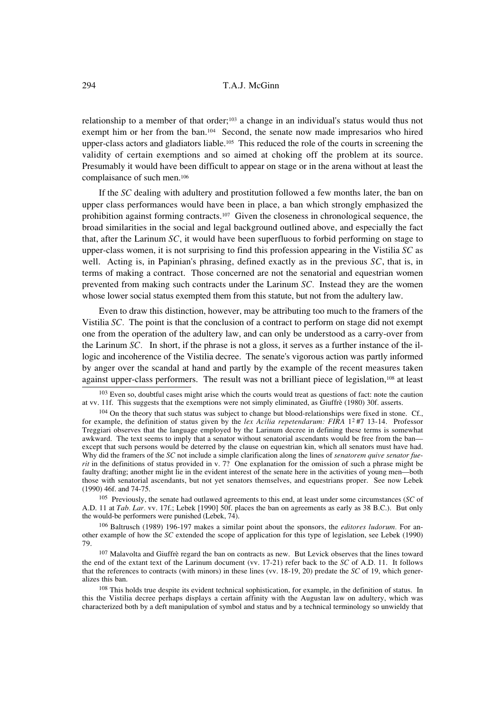relationship to a member of that order;<sup>103</sup> a change in an individual's status would thus not exempt him or her from the ban.<sup>104</sup> Second, the senate now made impresarios who hired upper-class actors and gladiators liable.105 This reduced the role of the courts in screening the validity of certain exemptions and so aimed at choking off the problem at its source. Presumably it would have been difficult to appear on stage or in the arena without at least the complaisance of such men.106

If the *SC* dealing with adultery and prostitution followed a few months later, the ban on upper class performances would have been in place, a ban which strongly emphasized the prohibition against forming contracts.107 Given the closeness in chronological sequence, the broad similarities in the social and legal background outlined above, and especially the fact that, after the Larinum *SC*, it would have been superfluous to forbid performing on stage to upper-class women, it is not surprising to find this profession appearing in the Vistilia *SC* as well. Acting is, in Papinian's phrasing, defined exactly as in the previous *SC*, that is, in terms of making a contract. Those concerned are not the senatorial and equestrian women prevented from making such contracts under the Larinum *SC.* Instead they are the women whose lower social status exempted them from this statute, but not from the adultery law.

Even to draw this distinction, however, may be attributing too much to the framers of the Vistilia *SC.* The point is that the conclusion of a contract to perform on stage did not exempt one from the operation of the adultery law, and can only be understood as a carry-over from the Larinum *SC.* In short, if the phrase is not a gloss, it serves as a further instance of the illogic and incoherence of the Vistilia decree. The senate's vigorous action was partly informed by anger over the scandal at hand and partly by the example of the recent measures taken against upper-class performers. The result was not a brilliant piece of legislation,108 at least

105 Previously, the senate had outlawed agreements to this end, at least under some circumstances (*SC* of A.D. 11 at *Tab. Lar.* vv. 17f.; Lebek [1990] 50f. places the ban on agreements as early as 38 B.C.). But only the would-be performers were punished (Lebek, 74).

<sup>106</sup> Baltrusch (1989) 196-197 makes a similar point about the sponsors, the *editores ludorum.* For another example of how the *SC* extended the scope of application for this type of legislation, see Lebek (1990) 79.

<sup>107</sup> Malavolta and Giuffrè regard the ban on contracts as new. But Levick observes that the lines toward the end of the extant text of the Larinum document (vv. 17-21) refer back to the *SC* of A.D. 11. It follows that the references to contracts (with minors) in these lines (vv. 18-19, 20) predate the *SC* of 19, which generalizes this ban.

<sup>108</sup> This holds true despite its evident technical sophistication, for example, in the definition of status. In this the Vistilia decree perhaps displays a certain affinity with the Augustan law on adultery, which was characterized both by a deft manipulation of symbol and status and by a technical terminology so unwieldy that

<sup>&</sup>lt;sup>103</sup> Even so, doubtful cases might arise which the courts would treat as questions of fact: note the caution at vv. 11f. This suggests that the exemptions were not simply eliminated, as Giuffrè (1980) 30f. asserts.

 $104$  On the theory that such status was subject to change but blood-relationships were fixed in stone. Cf., for example, the definition of status given by the *lex Acilia repetendarum: FIRA* 12 #7 13-14. Professor Treggiari observes that the language employed by the Larinum decree in defining these terms is somewhat awkward. The text seems to imply that a senator without senatorial ascendants would be free from the ban except that such persons would be deterred by the clause on equestrian kin, which all senators must have had. Why did the framers of the *SC* not include a simple clarification along the lines of *senatorem quive senator fuerit* in the definitions of status provided in v. 7? One explanation for the omission of such a phrase might be faulty drafting; another might lie in the evident interest of the senate here in the activities of young men—both those with senatorial ascendants, but not yet senators themselves, and equestrians proper. See now Lebek (1990) 46f. and 74-75.